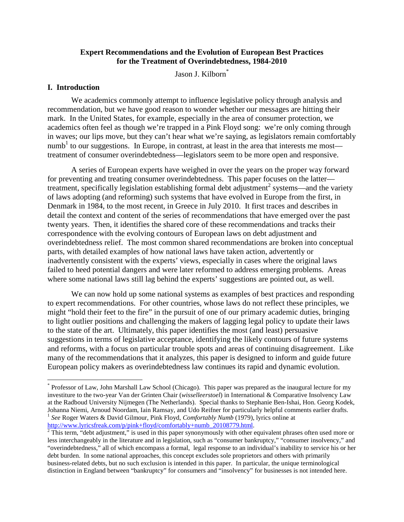## **Expert Recommendations and the Evolution of European Best Practices for the Treatment of Overindebtedness, 1984-2010**

Jason J. Kilborn<sup>\*</sup>

#### **I. Introduction**

We academics commonly attempt to influence legislative policy through analysis and recommendation, but we have good reason to wonder whether our messages are hitting their mark. In the United States, for example, especially in the area of consumer protection, we academics often feel as though we're trapped in a Pink Floyd song: we're only coming through in waves; our lips move, but they can't hear what we're saying, as legislators remain comfortably numb<sup>1</sup> to our suggestions. In Europe, in contrast, at least in the area that interests me most treatment of consumer overindebtedness—legislators seem to be more open and responsive.

A series of European experts have weighed in over the years on the proper way forward for preventing and treating consumer overindebtedness. This paper focuses on the latter treatment, specifically legislation establishing formal debt adjustment<sup>2</sup> systems—and the variety of laws adopting (and reforming) such systems that have evolved in Europe from the first, in Denmark in 1984, to the most recent, in Greece in July 2010. It first traces and describes in detail the context and content of the series of recommendations that have emerged over the past twenty years. Then, it identifies the shared core of these recommendations and tracks their correspondence with the evolving contours of European laws on debt adjustment and overindebtedness relief. The most common shared recommendations are broken into conceptual parts, with detailed examples of how national laws have taken action, advertently or inadvertently consistent with the experts' views, especially in cases where the original laws failed to heed potential dangers and were later reformed to address emerging problems. Areas where some national laws still lag behind the experts' suggestions are pointed out, as well.

We can now hold up some national systems as examples of best practices and responding to expert recommendations. For other countries, whose laws do not reflect these principles, we might "hold their feet to the fire" in the pursuit of one of our primary academic duties, bringing to light outlier positions and challenging the makers of lagging legal policy to update their laws to the state of the art. Ultimately, this paper identifies the most (and least) persuasive suggestions in terms of legislative acceptance, identifying the likely contours of future systems and reforms, with a focus on particular trouble spots and areas of continuing disagreement. Like many of the recommendations that it analyzes, this paper is designed to inform and guide future European policy makers as overindebtedness law continues its rapid and dynamic evolution.

 <sup>\*</sup> Professor of Law, John Marshall Law School (Chicago). This paper was prepared as the inaugural lecture for my investiture to the two-year Van der Grinten Chair (*wisselleerstoel*) in International & Comparative Insolvency Law at the Radboud University Nijmegen (The Netherlands). Special thanks to Stephanie Ben-Ishai, Hon. Georg Kodek, <sup>1</sup> See Roger Waters & David Gilmour, Pink Floyd, *Comfortably Numb* (1979), lyrics online at http://www.lyricsfreak.com/p/pink+floyd/comfortably+numb 20108779.html.

<sup>&</sup>lt;sup>2</sup> This term, "debt adjustment," is used in this paper synonymously with other equivalent phrases often used more or less interchangeably in the literature and in legislation, such as "consumer bankruptcy," "consumer insolvency," and "overindebtedness," all of which encompass a formal, legal response to an individual's inability to service his or her debt burden. In some national approaches, this concept excludes sole proprietors and others with primarily business-related debts, but no such exclusion is intended in this paper. In particular, the unique terminological distinction in England between "bankruptcy" for consumers and "insolvency" for businesses is not intended here.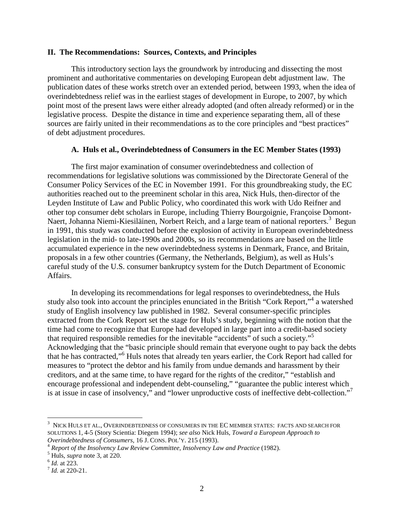#### **II. The Recommendations: Sources, Contexts, and Principles**

This introductory section lays the groundwork by introducing and dissecting the most prominent and authoritative commentaries on developing European debt adjustment law. The publication dates of these works stretch over an extended period, between 1993, when the idea of overindebtedness relief was in the earliest stages of development in Europe, to 2007, by which point most of the present laws were either already adopted (and often already reformed) or in the legislative process. Despite the distance in time and experience separating them, all of these sources are fairly united in their recommendations as to the core principles and "best practices" of debt adjustment procedures.

#### **A. Huls et al., Overindebtedness of Consumers in the EC Member States (1993)**

The first major examination of consumer overindebtedness and collection of recommendations for legislative solutions was commissioned by the Directorate General of the Consumer Policy Services of the EC in November 1991. For this groundbreaking study, the EC authorities reached out to the preeminent scholar in this area, Nick Huls, then-director of the Leyden Institute of Law and Public Policy, who coordinated this work with Udo Reifner and other top consumer debt scholars in Europe, including Thierry Bourgoignie, Françoise Domont-Naert, Johanna Niemi-Kiesiläinen, Norbert Reich, and a large team of national reporters.<sup>3</sup> Begun in 1991, this study was conducted before the explosion of activity in European overindebtedness legislation in the mid- to late-1990s and 2000s, so its recommendations are based on the little accumulated experience in the new overindebtedness systems in Denmark, France, and Britain, proposals in a few other countries (Germany, the Netherlands, Belgium), as well as Huls's careful study of the U.S. consumer bankruptcy system for the Dutch Department of Economic Affairs.

In developing its recommendations for legal responses to overindebtedness, the Huls study also took into account the principles enunciated in the British "Cork Report,"<sup>4</sup> a watershed study of English insolvency law published in 1982. Several consumer-specific principles extracted from the Cork Report set the stage for Huls's study, beginning with the notion that the time had come to recognize that Europe had developed in large part into a credit-based society that required responsible remedies for the inevitable "accidents" of such a society."<sup>5</sup> Acknowledging that the "basic principle should remain that everyone ought to pay back the debts that he has contracted,"<sup>6</sup> Huls notes that already ten years earlier, the Cork Report had called for measures to "protect the debtor and his family from undue demands and harassment by their creditors, and at the same time, to have regard for the rights of the creditor," "establish and encourage professional and independent debt-counseling," "guarantee the public interest which is at issue in case of insolvency," and "lower unproductive costs of ineffective debt-collection."<sup>7</sup>

<sup>&</sup>lt;sup>2</sup><br>3  $^3\,$  NICK HULS ET AL., OVERINDEBTEDNESS OF CONSUMERS IN THE EC MEMBER STATES: FACTS AND SEARCH FOR SOLUTIONS 1, 4-5 (Story Scientia: Diegem 1994); *see also* Nick Huls, *Toward a European Approach to* 

<sup>&</sup>lt;sup>4</sup> Report of the Insolvency Law Review Committee, Insolvency Law and Practice (1982).<br><sup>5</sup> Huls, *supra* note 3, at 220.<br><sup>6</sup> Id. at 223.<br><sup>7</sup> Id. at 220-21.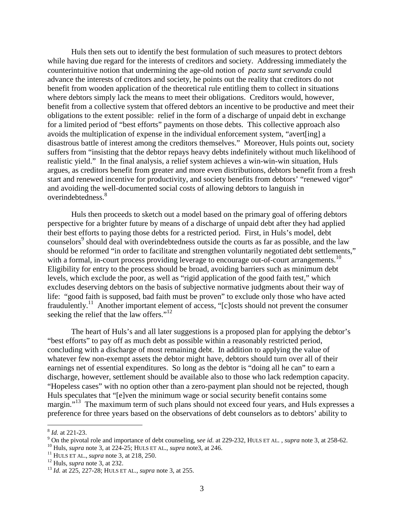Huls then sets out to identify the best formulation of such measures to protect debtors while having due regard for the interests of creditors and society. Addressing immediately the counterintuitive notion that undermining the age-old notion of *pacta sunt servanda* could advance the interests of creditors and society, he points out the reality that creditors do not benefit from wooden application of the theoretical rule entitling them to collect in situations where debtors simply lack the means to meet their obligations. Creditors would, however, benefit from a collective system that offered debtors an incentive to be productive and meet their obligations to the extent possible: relief in the form of a discharge of unpaid debt in exchange for a limited period of "best efforts" payments on those debts. This collective approach also avoids the multiplication of expense in the individual enforcement system, "avert[ing] a disastrous battle of interest among the creditors themselves." Moreover, Huls points out, society suffers from "insisting that the debtor repays heavy debts indefinitely without much likelihood of realistic yield." In the final analysis, a relief system achieves a win-win-win situation, Huls argues, as creditors benefit from greater and more even distributions, debtors benefit from a fresh start and renewed incentive for productivity, and society benefits from debtors' "renewed vigor" and avoiding the well-documented social costs of allowing debtors to languish in overindebtedness. 8

Huls then proceeds to sketch out a model based on the primary goal of offering debtors perspective for a brighter future by means of a discharge of unpaid debt after they had applied their best efforts to paying those debts for a restricted period. First, in Huls's model, debt counselors<sup>9</sup> should deal with overindebtedness outside the courts as far as possible, and the law should be reformed "in order to facilitate and strengthen voluntarily negotiated debt settlements," with a formal, in-court process providing leverage to encourage out-of-court arrangements.<sup>10</sup> Eligibility for entry to the process should be broad, avoiding barriers such as minimum debt levels, which exclude the poor, as well as "rigid application of the good faith test," which excludes deserving debtors on the basis of subjective normative judgments about their way of life: "good faith is supposed, bad faith must be proven" to exclude only those who have acted fraudulently.<sup>11</sup> Another important element of access, " $[c]$ osts should not prevent the consumer seeking the relief that the law offers."<sup>12</sup>

The heart of Huls's and all later suggestions is a proposed plan for applying the debtor's "best efforts" to pay off as much debt as possible within a reasonably restricted period, concluding with a discharge of most remaining debt. In addition to applying the value of whatever few non-exempt assets the debtor might have, debtors should turn over all of their earnings net of essential expenditures. So long as the debtor is "doing all he can" to earn a discharge, however, settlement should be available also to those who lack redemption capacity. "Hopeless cases" with no option other than a zero-payment plan should not be rejected, though Huls speculates that "[e]ven the minimum wage or social security benefit contains some margin."<sup>13</sup> The maximum term of such plans should not exceed four years, and Huls expresses a preference for three years based on the observations of debt counselors as to debtors' ability to

<sup>&</sup>lt;sup>8</sup> *Id.* at 221-23.<br>
<sup>9</sup> On the pivotal role and importance of debt counseling, see id. at 229-232, HULS ET AL., supra note 3, at 258-62.<br>
<sup>10</sup> Huls, *supra* note 3, at 224-25; HULS ET AL., *supra* note3, at 246.<br>
<sup>11</sup> H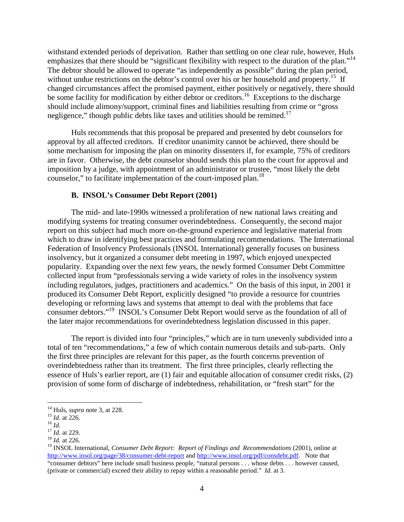withstand extended periods of deprivation. Rather than settling on one clear rule, however, Huls emphasizes that there should be "significant flexibility with respect to the duration of the plan."<sup>14</sup> The debtor should be allowed to operate "as independently as possible" during the plan period, without undue restrictions on the debtor's control over his or her household and property.<sup>15</sup> If changed circumstances affect the promised payment, either positively or negatively, there should be some facility for modification by either debtor or creditors.<sup>16</sup> Exceptions to the discharge should include alimony/support, criminal fines and liabilities resulting from crime or "gross negligence," though public debts like taxes and utilities should be remitted.<sup>17</sup>

Huls recommends that this proposal be prepared and presented by debt counselors for approval by all affected creditors. If creditor unanimity cannot be achieved, there should be some mechanism for imposing the plan on minority dissenters if, for example, 75% of creditors are in favor. Otherwise, the debt counselor should sends this plan to the court for approval and imposition by a judge, with appointment of an administrator or trustee, "most likely the debt counselor," to facilitate implementation of the court-imposed plan.<sup>18</sup>

#### **B. INSOL's Consumer Debt Report (2001)**

The mid- and late-1990s witnessed a proliferation of new national laws creating and modifying systems for treating consumer overindebtedness. Consequently, the second major report on this subject had much more on-the-ground experience and legislative material from which to draw in identifying best practices and formulating recommendations. The International Federation of Insolvency Professionals (INSOL International) generally focuses on business insolvency, but it organized a consumer debt meeting in 1997, which enjoyed unexpected popularity. Expanding over the next few years, the newly formed Consumer Debt Committee collected input from "professionals serving a wide variety of roles in the insolvency system including regulators, judges, practitioners and academics." On the basis of this input, in 2001 it produced its Consumer Debt Report, explicitly designed "to provide a resource for countries developing or reforming laws and systems that attempt to deal with the problems that face consumer debtors."19 INSOL's Consumer Debt Report would serve as the foundation of all of the later major recommendations for overindebtedness legislation discussed in this paper.

The report is divided into four "principles," which are in turn unevenly subdivided into a total of ten "recommendations," a few of which contain numerous details and sub-parts. Only the first three principles are relevant for this paper, as the fourth concerns prevention of overindebtedness rather than its treatment. The first three principles, clearly reflecting the essence of Huls's earlier report, are (1) fair and equitable allocation of consumer credit risks, (2) provision of some form of discharge of indebtedness, rehabilitation, or "fresh start" for the

<sup>&</sup>lt;sup>14</sup> Huls, *supra* note 3, at 228.<br><sup>15</sup> *Id.* at 226.<br><sup>17</sup> *Id.* at 229.<br><sup>18</sup> *Id.* at 226.

<sup>19</sup> INSOL International, *Consumer Debt Report: Report of Findings and Recommendations* (2001), online at <http://www.insol.org/page/38/consumer-debt-report> an[d http://www.insol.org/pdf/consdebt.pdf.](http://www.insol.org/pdf/consdebt.pdf) Note that "consumer debtors" here include small business people, "natural persons . . . whose debts . . . however caused, (private or commercial) exceed their ability to repay within a reasonable period." *Id.* at 3.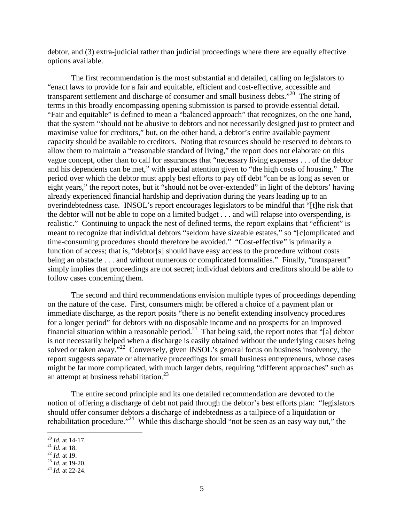debtor, and (3) extra-judicial rather than judicial proceedings where there are equally effective options available.

The first recommendation is the most substantial and detailed, calling on legislators to "enact laws to provide for a fair and equitable, efficient and cost-effective, accessible and transparent settlement and discharge of consumer and small business debts."<sup>20</sup> The string of terms in this broadly encompassing opening submission is parsed to provide essential detail. "Fair and equitable" is defined to mean a "balanced approach" that recognizes, on the one hand, that the system "should not be abusive to debtors and not necessarily designed just to protect and maximise value for creditors," but, on the other hand, a debtor's entire available payment capacity should be available to creditors. Noting that resources should be reserved to debtors to allow them to maintain a "reasonable standard of living," the report does not elaborate on this vague concept, other than to call for assurances that "necessary living expenses . . . of the debtor and his dependents can be met," with special attention given to "the high costs of housing." The period over which the debtor must apply best efforts to pay off debt "can be as long as seven or eight years," the report notes, but it "should not be over-extended" in light of the debtors' having already experienced financial hardship and deprivation during the years leading up to an overindebtedness case. INSOL's report encourages legislators to be mindful that "[t]he risk that the debtor will not be able to cope on a limited budget . . . and will relapse into overspending, is realistic." Continuing to unpack the nest of defined terms, the report explains that "efficient" is meant to recognize that individual debtors "seldom have sizeable estates," so "[c]omplicated and time-consuming procedures should therefore be avoided." "Cost-effective" is primarily a function of access; that is, "debtor[s] should have easy access to the procedure without costs being an obstacle . . . and without numerous or complicated formalities." Finally, "transparent" simply implies that proceedings are not secret; individual debtors and creditors should be able to follow cases concerning them.

The second and third recommendations envision multiple types of proceedings depending on the nature of the case. First, consumers might be offered a choice of a payment plan or immediate discharge, as the report posits "there is no benefit extending insolvency procedures for a longer period" for debtors with no disposable income and no prospects for an improved financial situation within a reasonable period.<sup>21</sup> That being said, the report notes that "[a] debtor is not necessarily helped when a discharge is easily obtained without the underlying causes being solved or taken away."<sup>22</sup> Conversely, given INSOL's general focus on business insolvency, the report suggests separate or alternative proceedings for small business entrepreneurs, whose cases might be far more complicated, with much larger debts, requiring "different approaches" such as an attempt at business rehabilitation. $^{23}$ 

The entire second principle and its one detailed recommendation are devoted to the notion of offering a discharge of debt not paid through the debtor's best efforts plan: "legislators should offer consumer debtors a discharge of indebtedness as a tailpiece of a liquidation or rehabilitation procedure."<sup>24</sup> While this discharge should "not be seen as an easy way out," the

 <sup>20</sup> *Id.* at 14-17. 21 *Id.* at 18. 22 *Id*. at 19. 23 *Id.* at 19-20. 24 *Id.* at 22-24.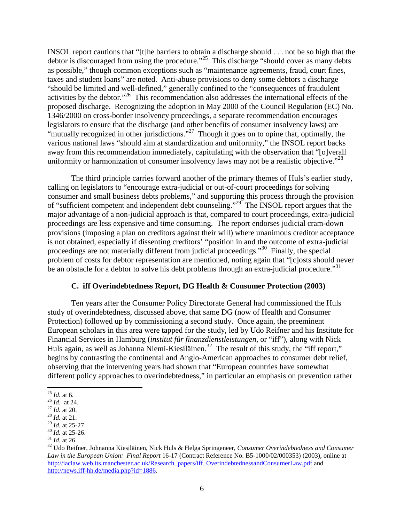INSOL report cautions that "[t]he barriers to obtain a discharge should . . . not be so high that the debtor is discouraged from using the procedure."<sup>25</sup> This discharge "should cover as many debts as possible," though common exceptions such as "maintenance agreements, fraud, court fines, taxes and student loans" are noted. Anti-abuse provisions to deny some debtors a discharge "should be limited and well-defined," generally confined to the "consequences of fraudulent activities by the debtor."26 This recommendation also addresses the international effects of the proposed discharge. Recognizing the adoption in May 2000 of the Council Regulation (EC) No. 1346/2000 on cross-border insolvency proceedings, a separate recommendation encourages legislators to ensure that the discharge (and other benefits of consumer insolvency laws) are "mutually recognized in other jurisdictions."<sup>27</sup> Though it goes on to opine that, optimally, the various national laws "should aim at standardization and uniformity," the INSOL report backs away from this recommendation immediately, capitulating with the observation that "[o]verall uniformity or harmonization of consumer insolvency laws may not be a realistic objective. $^{28}$ 

The third principle carries forward another of the primary themes of Huls's earlier study, calling on legislators to "encourage extra-judicial or out-of-court proceedings for solving consumer and small business debts problems," and supporting this process through the provision of "sufficient competent and independent debt counseling."<sup>29</sup> The INSOL report argues that the major advantage of a non-judicial approach is that, compared to court proceedings, extra-judicial proceedings are less expensive and time consuming. The report endorses judicial cram-down provisions (imposing a plan on creditors against their will) where unanimous creditor acceptance is not obtained, especially if dissenting creditors' "position in and the outcome of extra-judicial proceedings are not materially different from judicial proceedings."30 Finally, the special problem of costs for debtor representation are mentioned, noting again that "[c]osts should never be an obstacle for a debtor to solve his debt problems through an extra-judicial procedure."<sup>31</sup>

### **C. iff Overindebtedness Report, DG Health & Consumer Protection (2003)**

Ten years after the Consumer Policy Directorate General had commissioned the Huls study of overindebtedness, discussed above, that same DG (now of Health and Consumer Protection) followed up by commissioning a second study. Once again, the preeminent European scholars in this area were tapped for the study, led by Udo Reifner and his Institute for Financial Services in Hamburg (*institut für finanzdienstleistungen*, or "iff"), along with Nick Huls again, as well as Johanna Niemi-Kiesiläinen.<sup>32</sup> The result of this study, the "iff report," begins by contrasting the continental and Anglo-American approaches to consumer debt relief, observing that the intervening years had shown that "European countries have somewhat different policy approaches to overindebtedness," in particular an emphasis on prevention rather

 <sup>25</sup> *Id.* at 6. 26 *Id.* at 24. 27 *Id.* at 20. 28 *Id.* at 21.

<sup>&</sup>lt;sup>30</sup> *Id.* at 25-26.<br><sup>31</sup> *Id.* at 26.<br><sup>32</sup> Udo Reifner, Johnanna Kiesiläinen, Nick Huls & Helga Springeneer, *Consumer Overindebtedness and Consumer Law in the European Union: Final Report* 16-17 (Contract Reference No. B5-1000/02/000353) (2003), online at [http://iaclaw.web.its.manchester.ac.uk/Research\\_papers/iff\\_OverindebtednessandConsumerLaw.pdf](http://iaclaw.web.its.manchester.ac.uk/Research_papers/iff_OverindebtednessandConsumerLaw.pdf) and [http://news.iff-hh.de/media.php?id=1886.](http://news.iff-hh.de/media.php?id=1886)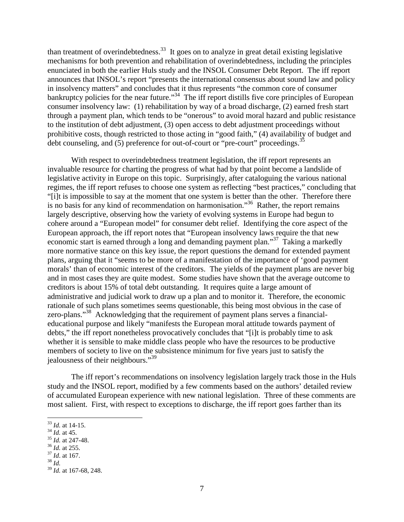than treatment of overindebtedness.<sup>33</sup> It goes on to analyze in great detail existing legislative mechanisms for both prevention and rehabilitation of overindebtedness, including the principles enunciated in both the earlier Huls study and the INSOL Consumer Debt Report. The iff report announces that INSOL's report "presents the international consensus about sound law and policy in insolvency matters" and concludes that it thus represents "the common core of consumer bankruptcy policies for the near future."<sup>34</sup> The iff report distills five core principles of European consumer insolvency law: (1) rehabilitation by way of a broad discharge, (2) earned fresh start through a payment plan, which tends to be "onerous" to avoid moral hazard and public resistance to the institution of debt adjustment, (3) open access to debt adjustment proceedings without prohibitive costs, though restricted to those acting in "good faith," (4) availability of budget and debt counseling, and (5) preference for out-of-court or "pre-court" proceedings.<sup>35</sup>

With respect to overindebtedness treatment legislation, the iff report represents an invaluable resource for charting the progress of what had by that point become a landslide of legislative activity in Europe on this topic. Surprisingly, after cataloguing the various national regimes, the iff report refuses to choose one system as reflecting "best practices," concluding that "[i]t is impossible to say at the moment that one system is better than the other. Therefore there is no basis for any kind of recommendation on harmonisation."36 Rather, the report remains largely descriptive, observing how the variety of evolving systems in Europe had begun to cohere around a "European model" for consumer debt relief. Identifying the core aspect of the European approach, the iff report notes that "European insolvency laws require the that new economic start is earned through a long and demanding payment plan."<sup>37</sup> Taking a markedly more normative stance on this key issue, the report questions the demand for extended payment plans, arguing that it "seems to be more of a manifestation of the importance of 'good payment morals' than of economic interest of the creditors. The yields of the payment plans are never big and in most cases they are quite modest. Some studies have shown that the average outcome to creditors is about 15% of total debt outstanding. It requires quite a large amount of administrative and judicial work to draw up a plan and to monitor it. Therefore, the economic rationale of such plans sometimes seems questionable, this being most obvious in the case of zero-plans."<sup>38</sup> Acknowledging that the requirement of payment plans serves a financialeducational purpose and likely "manifests the European moral attitude towards payment of debts," the iff report nonetheless provocatively concludes that "[i]t is probably time to ask whether it is sensible to make middle class people who have the resources to be productive members of society to live on the subsistence minimum for five years just to satisfy the jealousness of their neighbours."<sup>39</sup>

The iff report's recommendations on insolvency legislation largely track those in the Huls study and the INSOL report, modified by a few comments based on the authors' detailed review of accumulated European experience with new national legislation. Three of these comments are most salient. First, with respect to exceptions to discharge, the iff report goes farther than its

 <sup>33</sup> *Id.* at 14-15. 34 *Id.* at 45. 35 *Id.* at 247-48. 36 *Id.* at 255. 37 *Id*. at 167. 38 *Id.*

<sup>39</sup> *Id.* at 167-68, 248.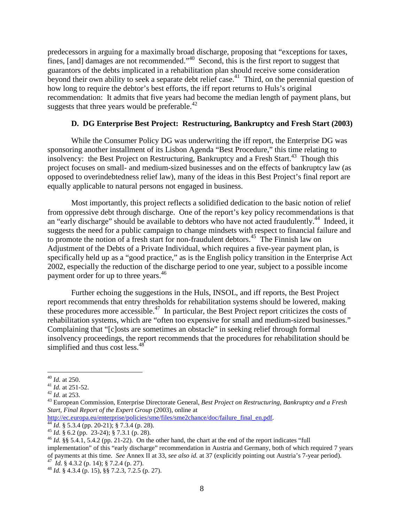predecessors in arguing for a maximally broad discharge, proposing that "exceptions for taxes, fines, [and] damages are not recommended."<sup>40</sup> Second, this is the first report to suggest that guarantors of the debts implicated in a rehabilitation plan should receive some consideration beyond their own ability to seek a separate debt relief case.<sup>41</sup> Third, on the perennial question of how long to require the debtor's best efforts, the iff report returns to Huls's original recommendation: It admits that five years had become the median length of payment plans, but suggests that three years would be preferable. $42$ 

# **D. DG Enterprise Best Project: Restructuring, Bankruptcy and Fresh Start (2003)**

While the Consumer Policy DG was underwriting the iff report, the Enterprise DG was sponsoring another installment of its Lisbon Agenda "Best Procedure," this time relating to insolvency: the Best Project on Restructuring, Bankruptcy and a Fresh Start.<sup>43</sup> Though this project focuses on small- and medium-sized businesses and on the effects of bankruptcy law (as opposed to overindebtedness relief law), many of the ideas in this Best Project's final report are equally applicable to natural persons not engaged in business.

Most importantly, this project reflects a solidified dedication to the basic notion of relief from oppressive debt through discharge. One of the report's key policy recommendations is that an "early discharge" should be available to debtors who have not acted fraudulently.<sup>44</sup> Indeed, it suggests the need for a public campaign to change mindsets with respect to financial failure and to promote the notion of a fresh start for non-fraudulent debtors.<sup>45</sup> The Finnish law on Adjustment of the Debts of a Private Individual, which requires a five-year payment plan, is specifically held up as a "good practice," as is the English policy transition in the Enterprise Act 2002, especially the reduction of the discharge period to one year, subject to a possible income payment order for up to three years.<sup>46</sup>

Further echoing the suggestions in the Huls, INSOL, and iff reports, the Best Project report recommends that entry thresholds for rehabilitation systems should be lowered, making these procedures more accessible.<sup>47</sup> In particular, the Best Project report criticizes the costs of rehabilitation systems, which are "often too expensive for small and medium-sized businesses." Complaining that "[c]osts are sometimes an obstacle" in seeking relief through formal insolvency proceedings, the report recommends that the procedures for rehabilitation should be simplified and thus cost less.<sup>48</sup>

<sup>40</sup> *Id.* at 250. <sup>41</sup> *Id.* at 251-52. <sup>42</sup> *Id.* at 253. <sup>43</sup> European Commission, Enterprise Directorate General, *Best Project on Restructuring, Bankruptcy and a Fresh Start, Final Report of the Expert Group* (2003), online at http://ec.europa.eu/enterprise/policies/sme/files/sme2chance/doc/failure final en.pdf.

<sup>&</sup>lt;sup>[44](http://ec.europa.eu/enterprise/policies/sme/files/sme2chance/doc/failure_final_en.pdf)</sup> *Id.* § 5.3.4 (pp. 20-21); § 7.3.4 (p. 28).<br><sup>45</sup> *Id.* § 6.2 (pp. 23-24); § 7.3.1 (p. 28).<br><sup>46</sup> *Id.* §§ 5.4.1, 5.4.2 (pp. 21-22). On the other hand, the chart at the end of the report indicates "full implementation" of this "early discharge" recommendation in Austria and Germany, both of which required 7 years of payments at this time. *See* Annex II at 33, *see also id.* at 37 (explicitly pointing out Austria's 7-year period).<br><sup>47</sup> *Id.* § 4.3.2 (p. 14); § 7.2.4 (p. 27).<br><sup>48</sup> *Id.* § 4.3.4 (p. 15), §§ 7.2.3, 7.2.5 (p. 27).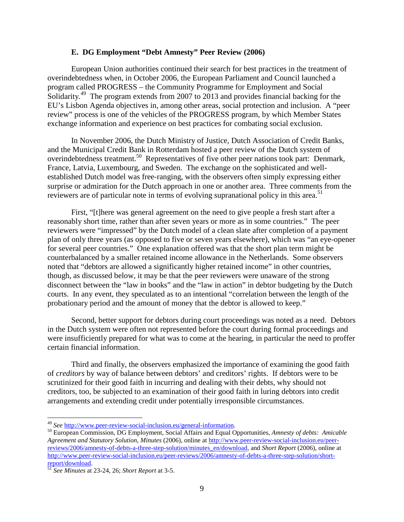## **E. DG Employment "Debt Amnesty" Peer Review (2006)**

European Union authorities continued their search for best practices in the treatment of overindebtedness when, in October 2006, the European Parliament and Council launched a program called PROGRESS – the Community Programme for Employment and Social Solidarity.<sup>49</sup> The program extends from 2007 to 2013 and provides financial backing for the EU's Lisbon Agenda objectives in, among other areas, social protection and inclusion. A "peer review" process is one of the vehicles of the PROGRESS program, by which Member States exchange information and experience on best practices for combating social exclusion.

In November 2006, the Dutch Ministry of Justice, Dutch Association of Credit Banks, and the Municipal Credit Bank in Rotterdam hosted a peer review of the Dutch system of overindebtedness treatment.50 Representatives of five other peer nations took part: Denmark, France, Latvia, Luxembourg, and Sweden. The exchange on the sophisticated and wellestablished Dutch model was free-ranging, with the observers often simply expressing either surprise or admiration for the Dutch approach in one or another area. Three comments from the reviewers are of particular note in terms of evolving supranational policy in this area.<sup>51</sup>

First, "[t]here was general agreement on the need to give people a fresh start after a reasonably short time, rather than after seven years or more as in some countries." The peer reviewers were "impressed" by the Dutch model of a clean slate after completion of a payment plan of only three years (as opposed to five or seven years elsewhere), which was "an eye-opener for several peer countries."One explanation offered was that the short plan term might be counterbalanced by a smaller retained income allowance in the Netherlands. Some observers noted that "debtors are allowed a significantly higher retained income" in other countries, though, as discussed below, it may be that the peer reviewers were unaware of the strong disconnect between the "law in books" and the "law in action" in debtor budgeting by the Dutch courts. In any event, they speculated as to an intentional "correlation between the length of the probationary period and the amount of money that the debtor is allowed to keep."

Second, better support for debtors during court proceedings was noted as a need. Debtors in the Dutch system were often not represented before the court during formal proceedings and were insufficiently prepared for what was to come at the hearing, in particular the need to proffer certain financial information.

Third and finally, the observers emphasized the importance of examining the good faith of *creditors* by way of balance between debtors' and creditors' rights. If debtors were to be scrutinized for their good faith in incurring and dealing with their debts, why should not creditors, too, be subjected to an examination of their good faith in luring debtors into credit arrangements and extending credit under potentially irresponsible circumstances.

<sup>49</sup> *See* [http://www.peer-review-social-inclusion.eu/general-information.](http://www.peer-review-social-inclusion.eu/general-information) 50 European Commission, DG Employment, Social Affairs and Equal Opportunities, *Amnesty of debts: Amicable Agreement and Statutory Solution, Minutes* (2006), online at [http://www.peer-review-social-inclusion.eu/peer](http://www.peer-review-social-inclusion.eu/peer-reviews/2006/amnesty-of-debts-a-three-step-solution/minutes_en/download)[reviews/2006/amnesty-of-debts-a-three-step-solution/minutes\\_en/download,](http://www.peer-review-social-inclusion.eu/peer-reviews/2006/amnesty-of-debts-a-three-step-solution/minutes_en/download) and *Short Report* (2006), online at [http://www.peer-review-social-inclusion.eu/peer-reviews/2006/amnesty-of-debts-a-three-step-solution/short](http://www.peer-review-social-inclusion.eu/peer-reviews/2006/amnesty-of-debts-a-three-step-solution/short-report/download)[report/download.](http://www.peer-review-social-inclusion.eu/peer-reviews/2006/amnesty-of-debts-a-three-step-solution/short-report/download) [51](http://www.peer-review-social-inclusion.eu/peer-reviews/2006/amnesty-of-debts-a-three-step-solution/short-report/download) *See Minutes* at 23-24, 26; *Short Report* at 3-5.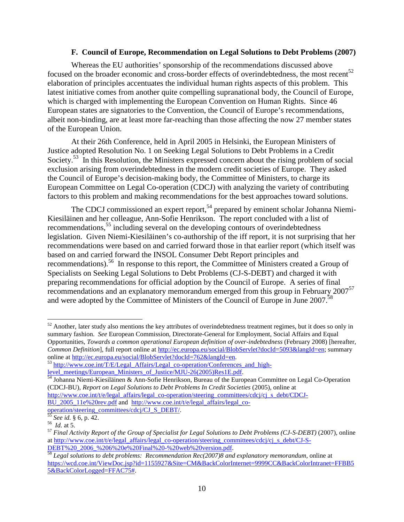## **F. Council of Europe, Recommendation on Legal Solutions to Debt Problems (2007)**

Whereas the EU authorities' sponsorship of the recommendations discussed above focused on the broader economic and cross-border effects of overindebtedness, the most recent<sup>52</sup> elaboration of principles accentuates the individual human rights aspects of this problem. This latest initiative comes from another quite compelling supranational body, the Council of Europe, which is charged with implementing the European Convention on Human Rights. Since 46 European states are signatories to the Convention, the Council of Europe's recommendations, albeit non-binding, are at least more far-reaching than those affecting the now 27 member states of the European Union.

At their 26th Conference, held in April 2005 in Helsinki, the European Ministers of Justice adopted Resolution No. 1 on Seeking Legal Solutions to Debt Problems in a Credit Society.<sup>53</sup> In this Resolution, the Ministers expressed concern about the rising problem of social exclusion arising from overindebtedness in the modern credit societies of Europe. They asked the Council of Europe's decision-making body, the Committee of Ministers, to charge its European Committee on Legal Co-operation (CDCJ) with analyzing the variety of contributing factors to this problem and making recommendations for the best approaches toward solutions.

The CDCJ commissioned an expert report,<sup>54</sup> prepared by eminent scholar Johanna Niemi-Kiesiläinen and her colleague, Ann-Sofie Henrikson. The report concluded with a list of recommendations,<sup>55</sup> including several on the developing contours of overindebtedness legislation. Given Niemi-Kiesiläinen's co-authorship of the iff report, it is not surprising that her recommendations were based on and carried forward those in that earlier report (which itself was based on and carried forward the INSOL Consumer Debt Report principles and recommendations).<sup>56</sup> In response to this report, the Committee of Ministers created a Group of Specialists on Seeking Legal Solutions to Debt Problems (CJ-S-DEBT) and charged it with preparing recommendations for official adoption by the Council of Europe. A series of final recommendations and an explanatory memorandum emerged from this group in February 2007<sup>57</sup> and were adopted by the Committee of Ministers of the Council of Europe in June 2007.<sup>58</sup>

 $52$  Another, later study also mentions the key attributes of overindebtedness treatment regimes, but it does so only in summary fashion. *See* European Commission, Directorate-General for Employment, Social Affairs and Equal Opportunities, *Towards a common operational European definition of over-indebtedness* (February 2008) [hereafter, *Common Definition*], full report online at [http://ec.europa.eu/social/BlobServlet?docId=5093&langId=en;](http://ec.europa.eu/social/BlobServlet?docId=5093&langId=en) summary online at http://ec.europa.eu/social/BlobServlet?docId=762&langId=en

<sup>&</sup>lt;sup>53</sup> [http://www.coe.int/T/E/Legal\\_Affairs/Legal\\_co-operation/Conferences\\_and\\_high](http://www.coe.int/T/E/Legal_Affairs/Legal_co-operation/Conferences_and_high-level_meetings/European_Ministers_of_Justice/MJU-26(2005)Res1E.pdf)[level\\_meetings/European\\_Ministers\\_of\\_Justice/MJU-26\(2005\)Res1E.pdf.](http://www.coe.int/T/E/Legal_Affairs/Legal_co-operation/Conferences_and_high-level_meetings/European_Ministers_of_Justice/MJU-26(2005)Res1E.pdf) [54](http://www.coe.int/T/E/Legal_Affairs/Legal_co-operation/Conferences_and_high-level_meetings/European_Ministers_of_Justice/MJU-26(2005)Res1E.pdf) Johanna Niemi-Kiesiläinen & Ann-Sofie Henrikson, Bureau of the European Committee on Legal Co-Operation

<sup>(</sup>CDCJ-BU), *Report on Legal Solutions to Debt Problems In Credit Societies* (2005), online at [http://www.coe.int/t/e/legal\\_affairs/legal\\_co-operation/steering\\_committees/cdcj/cj\\_s\\_debt/CDCJ-](http://www.coe.int/t/e/legal_affairs/legal_co-operation/steering_committees/cdcj/cj_s_debt/CDCJ-BU_2005_11e%20rev.pdf)

[BU\\_2005\\_11e%20rev.pdf](http://www.coe.int/t/e/legal_affairs/legal_co-operation/steering_committees/cdcj/cj_s_debt/CDCJ-BU_2005_11e%20rev.pdf) and [http://www.coe.int/t/e/legal\\_affairs/legal\\_co-](http://www.coe.int/t/e/legal_affairs/legal_co-operation/steering_committees/cdcj/CJ_S_DEBT/)

[operation/steering\\_committees/cdcj/CJ\\_S\\_DEBT/.](http://www.coe.int/t/e/legal_affairs/legal_co-operation/steering_committees/cdcj/CJ_S_DEBT/)<br>
<sup>55</sup> *See id.* § 6, p. 42.<br>
<sup>56</sup> *Id.* at 5.<br>
<sup>57</sup> *Final Activity Report of the Group of Specialist for Legal Solutions to Debt Problems (CJ-S-DEBT)* (2007), online at http://www.coe.int/t/e/legal\_affairs/legal\_co-operation/steering\_committees/cdcj/cj\_s\_debt/CJ-S-<br>DEBT%20\_2006\_%206%20e%20Final%20-%20web%20version.pdf.

<sup>&</sup>lt;sup>58</sup> Legal solutions to debt problems: Recommendation Rec(2007)8 and explanatory memorandum, online at [https://wcd.coe.int/ViewDoc.jsp?id=1155927&Site=CM&BackColorInternet=9999CC&BackColorIntranet=FFBB5](https://wcd.coe.int/ViewDoc.jsp?id=1155927&Site=CM&BackColorInternet=9999CC&BackColorIntranet=FFBB55&BackColorLogged=FFAC75) [5&BackColorLogged=FFAC75#.](https://wcd.coe.int/ViewDoc.jsp?id=1155927&Site=CM&BackColorInternet=9999CC&BackColorIntranet=FFBB55&BackColorLogged=FFAC75)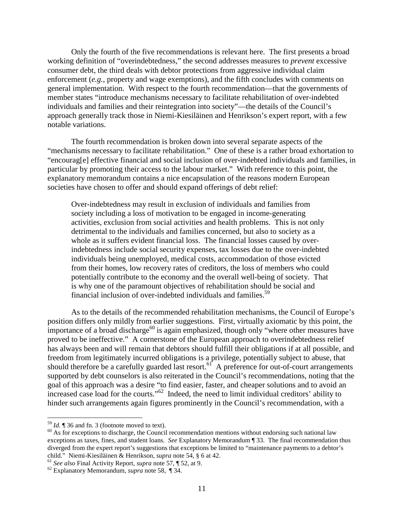Only the fourth of the five recommendations is relevant here. The first presents a broad working definition of "overindebtedness," the second addresses measures to *prevent* excessive consumer debt, the third deals with debtor protections from aggressive individual claim enforcement (*e.g.,* property and wage exemptions), and the fifth concludes with comments on general implementation. With respect to the fourth recommendation—that the governments of member states "introduce mechanisms necessary to facilitate rehabilitation of over-indebted individuals and families and their reintegration into society"—the details of the Council's approach generally track those in Niemi-Kiesiläinen and Henrikson's expert report, with a few notable variations.

The fourth recommendation is broken down into several separate aspects of the "mechanisms necessary to facilitate rehabilitation." One of these is a rather broad exhortation to "encourag[e] effective financial and social inclusion of over-indebted individuals and families, in particular by promoting their access to the labour market." With reference to this point, the explanatory memorandum contains a nice encapsulation of the reasons modern European societies have chosen to offer and should expand offerings of debt relief:

Over-indebtedness may result in exclusion of individuals and families from society including a loss of motivation to be engaged in income-generating activities, exclusion from social activities and health problems. This is not only detrimental to the individuals and families concerned, but also to society as a whole as it suffers evident financial loss. The financial losses caused by overindebtedness include social security expenses, tax losses due to the over-indebted individuals being unemployed, medical costs, accommodation of those evicted from their homes, low recovery rates of creditors, the loss of members who could potentially contribute to the economy and the overall well-being of society. That is why one of the paramount objectives of rehabilitation should be social and financial inclusion of over-indebted individuals and families.<sup>59</sup>

As to the details of the recommended rehabilitation mechanisms, the Council of Europe's position differs only mildly from earlier suggestions. First, virtually axiomatic by this point, the importance of a broad discharge<sup>60</sup> is again emphasized, though only "where other measures have proved to be ineffective." A cornerstone of the European approach to overindebtedness relief has always been and will remain that debtors should fulfill their obligations if at all possible, and freedom from legitimately incurred obligations is a privilege, potentially subject to abuse, that should therefore be a carefully guarded last resort.<sup>61</sup> A preference for out-of-court arrangements supported by debt counselors is also reiterated in the Council's recommendations, noting that the goal of this approach was a desire "to find easier, faster, and cheaper solutions and to avoid an increased case load for the courts."<sup>62</sup> Indeed, the need to limit individual creditors' ability to hinder such arrangements again figures prominently in the Council's recommendation, with a

<sup>&</sup>lt;sup>59</sup> *Id.* ¶ 36 and fn. 3 (footnote moved to text).<br><sup>60</sup> As for exceptions to discharge, the Council recommendation mentions without endorsing such national law exceptions as taxes, fines, and student loans. *See* Explanatory Memorandum ¶ 33. The final recommendation thus diverged from the expert report's suggestions that exceptions be limited to "maintenance payments to a debtor's child." Niemi-Kiesiläinen & Henrikson, *supra* note 54, § 6 at 42.<br><sup>61</sup> *See also* Final Activity Report, *supra* note 57, ¶ 52, at 9.<br><sup>62</sup> Explanatory Memorandum, *supra* note 58, ¶ 34.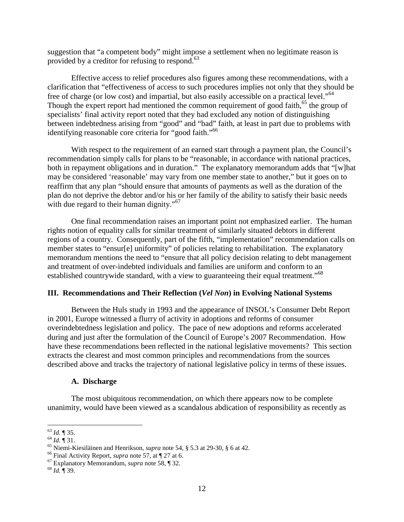suggestion that "a competent body" might impose a settlement when no legitimate reason is provided by a creditor for refusing to respond. 63

Effective access to relief procedures also figures among these recommendations, with a clarification that "effectiveness of access to such procedures implies not only that they should be free of charge (or low cost) and impartial, but also easily accessible on a practical level."<sup>64</sup> Though the expert report had mentioned the common requirement of good faith,<sup>65</sup> the group of specialists' final activity report noted that they had excluded any notion of distinguishing between indebtedness arising from "good" and "bad" faith, at least in part due to problems with identifying reasonable core criteria for "good faith."<sup>66</sup>

With respect to the requirement of an earned start through a payment plan, the Council's recommendation simply calls for plans to be "reasonable, in accordance with national practices, both in repayment obligations and in duration." The explanatory memorandum adds that "[w]hat may be considered 'reasonable' may vary from one member state to another," but it goes on to reaffirm that any plan "should ensure that amounts of payments as well as the duration of the plan do not deprive the debtor and/or his or her family of the ability to satisfy their basic needs with due regard to their human dignity."<sup>67</sup>

One final recommendation raises an important point not emphasized earlier. The human rights notion of equality calls for similar treatment of similarly situated debtors in different regions of a country. Consequently, part of the fifth, "implementation" recommendation calls on member states to "ensur[e] uniformity" of policies relating to rehabilitation. The explanatory memorandum mentions the need to "ensure that all policy decision relating to debt management and treatment of over-indebted individuals and families are uniform and conform to an established countrywide standard, with a view to guaranteeing their equal treatment."<sup>68</sup>

# **III. Recommendations and Their Reflection (***Vel Non***) in Evolving National Systems**

Between the Huls study in 1993 and the appearance of INSOL's Consumer Debt Report in 2001, Europe witnessed a flurry of activity in adoptions and reforms of consumer overindebtedness legislation and policy. The pace of new adoptions and reforms accelerated during and just after the formulation of the Council of Europe's 2007 Recommendation. How have these recommendations been reflected in the national legislative movements? This section extracts the clearest and most common principles and recommendations from the sources described above and tracks the trajectory of national legislative policy in terms of these issues.

### **A. Discharge**

The most ubiquitous recommendation, on which there appears now to be complete unanimity, would have been viewed as a scandalous abdication of responsibility as recently as

<sup>&</sup>lt;sup>63</sup> *Id.* ¶ 35.<br><sup>64</sup> *Id.* ¶ 31.<br><sup>65</sup> Niemi-Kiesiläinen and Henrikson, *supra* note 54, § 5.3 at 29-30, § 6 at 42.<br><sup>66</sup> Final Activity Report, *supra* note 57, at ¶ 27 at 6.<br><sup>67</sup> Explanatory Memorandum, *supra* note 58,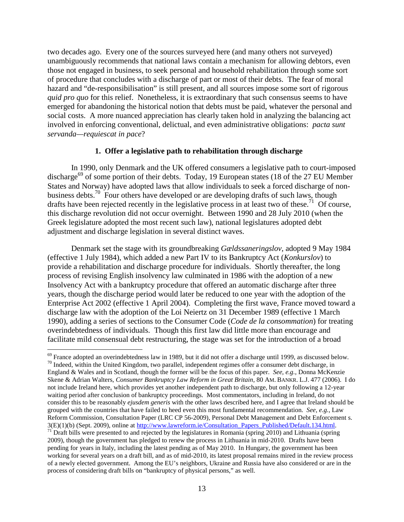two decades ago. Every one of the sources surveyed here (and many others not surveyed) unambiguously recommends that national laws contain a mechanism for allowing debtors, even those not engaged in business, to seek personal and household rehabilitation through some sort of procedure that concludes with a discharge of part or most of their debts. The fear of moral hazard and "de-responsibilisation" is still present, and all sources impose some sort of rigorous *quid pro quo* for this relief. Nonetheless, it is extraordinary that such consensus seems to have emerged for abandoning the historical notion that debts must be paid, whatever the personal and social costs. A more nuanced appreciation has clearly taken hold in analyzing the balancing act involved in enforcing conventional, delictual, and even administrative obligations: *pacta sunt servanda—requiescat in pace*?

#### **1. Offer a legislative path to rehabilitation through discharge**

In 1990, only Denmark and the UK offered consumers a legislative path to court-imposed discharge<sup>69</sup> of some portion of their debts. Today, 19 European states (18 of the 27 EU Member States and Norway) have adopted laws that allow individuals to seek a forced discharge of nonbusiness debts.<sup>70</sup> Four others have developed or are developing drafts of such laws, though drafts have been rejected recently in the legislative process in at least two of these.<sup>71</sup> Of course, this discharge revolution did not occur overnight. Between 1990 and 28 July 2010 (when the Greek legislature adopted the most recent such law), national legislatures adopted debt adjustment and discharge legislation in several distinct waves.

Denmark set the stage with its groundbreaking *Gældssaneringslov*, adopted 9 May 1984 (effective 1 July 1984), which added a new Part IV to its Bankruptcy Act (*Konkurslov*) to provide a rehabilitation and discharge procedure for individuals. Shortly thereafter, the long process of revising English insolvency law culminated in 1986 with the adoption of a new Insolvency Act with a bankruptcy procedure that offered an automatic discharge after three years, though the discharge period would later be reduced to one year with the adoption of the Enterprise Act 2002 (effective 1 April 2004). Completing the first wave, France moved toward a discharge law with the adoption of the Loi Neiertz on 31 December 1989 (effective 1 March 1990), adding a series of sections to the Consumer Code (*Code de la consommation*) for treating overindebtedness of individuals. Though this first law did little more than encourage and facilitate mild consensual debt restructuring, the stage was set for the introduction of a broad

 $^{69}$  France adopted an overindebtedness law in 1989, but it did not offer a discharge until 1999, as discussed below.  $^{70}$  Indeed, within the United Kingdom, two parallel, independent regimes offer a consumer debt dis England & Wales and in Scotland, though the former will be the focus of this paper. *See, e.g.*, Donna McKenzie Skene & Adrian Walters, *Consumer Bankruptcy Law Reform in Great Britain*, 80 AM. BANKR. L.J. 477 (2006). I do not include Ireland here, which provides yet another independent path to discharge, but only following a 12-year waiting period after conclusion of bankruptcy proceedings. Most commentators, including in Ireland, do not consider this to be reasonably *ejusdem generis* with the other laws described here, and I agree that Ireland should be grouped with the countries that have failed to heed even this most fundamental recommendation. *See, e.g.,* Law Reform Commission, Consultation Paper (LRC CP 56-2009), Personal Debt Management and Debt Enforcement s.<br>3(E)(1)(b) (Sept. 2009), online at http://www.lawreform.ie/Consultation\_Papers\_Published/Default.134.html. <sup>71</sup> Draft bills were presented to and rejected by the legislatures in Romania (spring 2010) and Lithuania (spring 2009), though the government has pledged to renew the process in Lithuania in mid-2010. Drafts have been pending for years in Italy, including the latest pending as of May 2010. In Hungary, the government has been working for several years on a draft bill, and as of mid-2010, its latest proposal remains mired in the review process of a newly elected government. Among the EU's neighbors, Ukraine and Russia have also considered or are in the process of considering draft bills on "bankruptcy of physical persons," as well.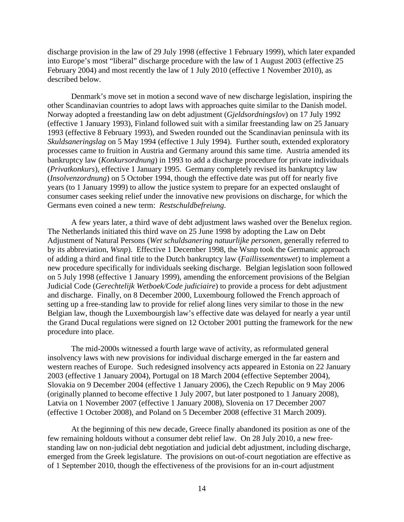discharge provision in the law of 29 July 1998 (effective 1 February 1999), which later expanded into Europe's most "liberal" discharge procedure with the law of 1 August 2003 (effective 25 February 2004) and most recently the law of 1 July 2010 (effective 1 November 2010), as described below.

Denmark's move set in motion a second wave of new discharge legislation, inspiring the other Scandinavian countries to adopt laws with approaches quite similar to the Danish model. Norway adopted a freestanding law on debt adjustment (*Gjeldsordningslov*) on 17 July 1992 (effective 1 January 1993), Finland followed suit with a similar freestanding law on 25 January 1993 (effective 8 February 1993), and Sweden rounded out the Scandinavian peninsula with its *Skuldsaneringslag* on 5 May 1994 (effective 1 July 1994). Further south, extended exploratory processes came to fruition in Austria and Germany around this same time. Austria amended its bankruptcy law (*Konkursordnung*) in 1993 to add a discharge procedure for private individuals (*Privatkonkurs*), effective 1 January 1995. Germany completely revised its bankruptcy law (*Insolvenzordnung*) on 5 October 1994, though the effective date was put off for nearly five years (to 1 January 1999) to allow the justice system to prepare for an expected onslaught of consumer cases seeking relief under the innovative new provisions on discharge, for which the Germans even coined a new term: *Restschuldbefreiung*.

A few years later, a third wave of debt adjustment laws washed over the Benelux region. The Netherlands initiated this third wave on 25 June 1998 by adopting the Law on Debt Adjustment of Natural Persons (*Wet schuldsanering natuurlijke personen*, generally referred to by its abbreviation, *Wsnp*). Effective 1 December 1998, the Wsnp took the Germanic approach of adding a third and final title to the Dutch bankruptcy law (*Faillissementswet*) to implement a new procedure specifically for individuals seeking discharge. Belgian legislation soon followed on 5 July 1998 (effective 1 January 1999), amending the enforcement provisions of the Belgian Judicial Code (*Gerechtelijk Wetboek/Code judiciaire*) to provide a process for debt adjustment and discharge. Finally, on 8 December 2000, Luxembourg followed the French approach of setting up a free-standing law to provide for relief along lines very similar to those in the new Belgian law, though the Luxembourgish law's effective date was delayed for nearly a year until the Grand Ducal regulations were signed on 12 October 2001 putting the framework for the new procedure into place.

The mid-2000s witnessed a fourth large wave of activity, as reformulated general insolvency laws with new provisions for individual discharge emerged in the far eastern and western reaches of Europe. Such redesigned insolvency acts appeared in Estonia on 22 January 2003 (effective 1 January 2004), Portugal on 18 March 2004 (effective September 2004), Slovakia on 9 December 2004 (effective 1 January 2006), the Czech Republic on 9 May 2006 (originally planned to become effective 1 July 2007, but later postponed to 1 January 2008), Latvia on 1 November 2007 (effective 1 January 2008), Slovenia on 17 December 2007 (effective 1 October 2008), and Poland on 5 December 2008 (effective 31 March 2009).

At the beginning of this new decade, Greece finally abandoned its position as one of the few remaining holdouts without a consumer debt relief law. On 28 July 2010, a new freestanding law on non-judicial debt negotiation and judicial debt adjustment, including discharge, emerged from the Greek legislature. The provisions on out-of-court negotiation are effective as of 1 September 2010, though the effectiveness of the provisions for an in-court adjustment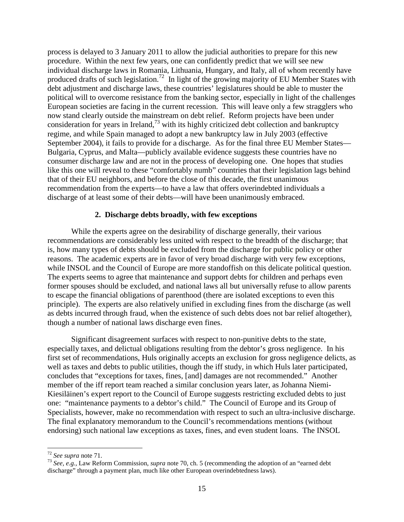process is delayed to 3 January 2011 to allow the judicial authorities to prepare for this new procedure. Within the next few years, one can confidently predict that we will see new individual discharge laws in Romania, Lithuania, Hungary, and Italy, all of whom recently have produced drafts of such legislation.<sup>72</sup> In light of the growing majority of EU Member States with debt adjustment and discharge laws, these countries' legislatures should be able to muster the political will to overcome resistance from the banking sector, especially in light of the challenges European societies are facing in the current recession. This will leave only a few stragglers who now stand clearly outside the mainstream on debt relief. Reform projects have been under consideration for years in Ireland, $^{73}$  with its highly criticized debt collection and bankruptcy regime, and while Spain managed to adopt a new bankruptcy law in July 2003 (effective September 2004), it fails to provide for a discharge. As for the final three EU Member States— Bulgaria, Cyprus, and Malta—publicly available evidence suggests these countries have no consumer discharge law and are not in the process of developing one. One hopes that studies like this one will reveal to these "comfortably numb" countries that their legislation lags behind that of their EU neighbors, and before the close of this decade, the first unanimous recommendation from the experts—to have a law that offers overindebted individuals a discharge of at least some of their debts—will have been unanimously embraced.

## **2. Discharge debts broadly, with few exceptions**

While the experts agree on the desirability of discharge generally, their various recommendations are considerably less united with respect to the breadth of the discharge; that is, how many types of debts should be excluded from the discharge for public policy or other reasons. The academic experts are in favor of very broad discharge with very few exceptions, while INSOL and the Council of Europe are more standoffish on this delicate political question. The experts seems to agree that maintenance and support debts for children and perhaps even former spouses should be excluded, and national laws all but universally refuse to allow parents to escape the financial obligations of parenthood (there are isolated exceptions to even this principle). The experts are also relatively unified in excluding fines from the discharge (as well as debts incurred through fraud, when the existence of such debts does not bar relief altogether), though a number of national laws discharge even fines.

Significant disagreement surfaces with respect to non-punitive debts to the state, especially taxes, and delictual obligations resulting from the debtor's gross negligence. In his first set of recommendations, Huls originally accepts an exclusion for gross negligence delicts, as well as taxes and debts to public utilities, though the iff study, in which Huls later participated, concludes that "exceptions for taxes, fines, [and] damages are not recommended." Another member of the iff report team reached a similar conclusion years later, as Johanna Niemi-Kiesiläinen's expert report to the Council of Europe suggests restricting excluded debts to just one: "maintenance payments to a debtor's child." The Council of Europe and its Group of Specialists, however, make no recommendation with respect to such an ultra-inclusive discharge. The final explanatory memorandum to the Council's recommendations mentions (without endorsing) such national law exceptions as taxes, fines, and even student loans. The INSOL

<sup>72</sup> *See supra* note 71. <sup>73</sup> *See, e.g.,* Law Reform Commission, *supra* note 70, ch. 5 (recommending the adoption of an "earned debt discharge" through a payment plan, much like other European overindebtedness laws).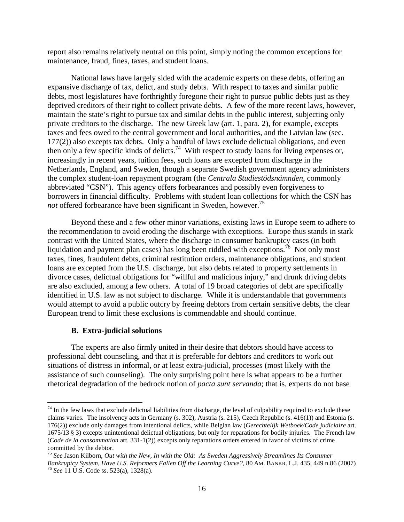report also remains relatively neutral on this point, simply noting the common exceptions for maintenance, fraud, fines, taxes, and student loans.

National laws have largely sided with the academic experts on these debts, offering an expansive discharge of tax, delict, and study debts. With respect to taxes and similar public debts, most legislatures have forthrightly foregone their right to pursue public debts just as they deprived creditors of their right to collect private debts. A few of the more recent laws, however, maintain the state's right to pursue tax and similar debts in the public interest, subjecting only private creditors to the discharge. The new Greek law (art. 1, para. 2), for example, excepts taxes and fees owed to the central government and local authorities, and the Latvian law (sec. 177(2)) also excepts tax debts. Only a handful of laws exclude delictual obligations, and even then only a few specific kinds of delicts.<sup>74</sup> With respect to study loans for living expenses or, increasingly in recent years, tuition fees, such loans are excepted from discharge in the Netherlands, England, and Sweden, though a separate Swedish government agency administers the complex student-loan repayment program (the *Centrala Studiestödsnämnden*, commonly abbreviated "CSN"). This agency offers forbearances and possibly even forgiveness to borrowers in financial difficulty. Problems with student loan collections for which the CSN has *not* offered forbearance have been significant in Sweden, however. 75

Beyond these and a few other minor variations, existing laws in Europe seem to adhere to the recommendation to avoid eroding the discharge with exceptions. Europe thus stands in stark contrast with the United States, where the discharge in consumer bankruptcy cases (in both liquidation and payment plan cases) has long been riddled with exceptions.<sup>76</sup> Not only most taxes, fines, fraudulent debts, criminal restitution orders, maintenance obligations, and student loans are excepted from the U.S. discharge, but also debts related to property settlements in divorce cases, delictual obligations for "willful and malicious injury," and drunk driving debts are also excluded, among a few others. A total of 19 broad categories of debt are specifically identified in U.S. law as not subject to discharge. While it is understandable that governments would attempt to avoid a public outcry by freeing debtors from certain sensitive debts, the clear European trend to limit these exclusions is commendable and should continue.

### **B. Extra-judicial solutions**

The experts are also firmly united in their desire that debtors should have access to professional debt counseling, and that it is preferable for debtors and creditors to work out situations of distress in informal, or at least extra-judicial, processes (most likely with the assistance of such counseling). The only surprising point here is what appears to be a further rhetorical degradation of the bedrock notion of *pacta sunt servanda*; that is, experts do not base

 $74$  In the few laws that exclude delictual liabilities from discharge, the level of culpability required to exclude these claims varies. The insolvency acts in Germany (s. 302), Austria (s. 215), Czech Republic (s. 416(1)) and Estonia (s. 176(2)) exclude only damages from intentional delicts, while Belgian law (*Gerechtelijk Wetboek/Code judiciaire* art. 1675/13 § 3) excepts unintentional delictual obligations, but only for reparations for bodily injuries. The French law (*Code de la consommation* art. 331-1(2)) excepts only reparations orders entered in favor of victims of crime committed by the debtor.

<sup>75</sup> *See* Jason Kilborn, *Out with the New, In with the Old: As Sweden Aggressively Streamlines Its Consumer Bankruptcy System, Have U.S. Reformers Fallen Off the Learning Curve?, 80 AM. BANKR. L.J. 435, 449 n.86 (2007)* <sup>76</sup> *See* 11 U.S. Code ss. 523(a), 1328(a).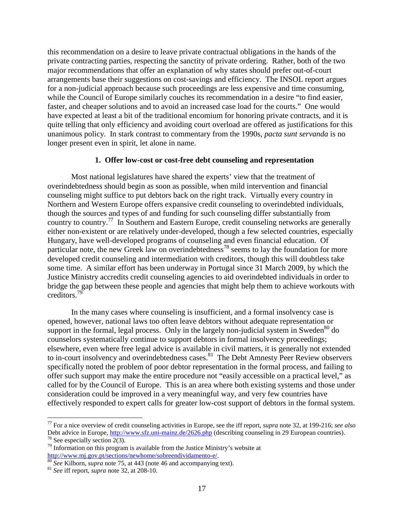this recommendation on a desire to leave private contractual obligations in the hands of the private contracting parties, respecting the sanctity of private ordering. Rather, both of the two major recommendations that offer an explanation of why states should prefer out-of-court arrangements base their suggestions on cost-savings and efficiency. The INSOL report argues for a non-judicial approach because such proceedings are less expensive and time consuming, while the Council of Europe similarly couches its recommendation in a desire "to find easier, faster, and cheaper solutions and to avoid an increased case load for the courts." One would have expected at least a bit of the traditional encomium for honoring private contracts, and it is quite telling that only efficiency and avoiding court overload are offered as justifications for this unanimous policy. In stark contrast to commentary from the 1990s, *pacta sunt servanda* is no longer present even in spirit, let alone in name.

### **1. Offer low-cost or cost-free debt counseling and representation**

Most national legislatures have shared the experts' view that the treatment of overindebtedness should begin as soon as possible, when mild intervention and financial counseling might suffice to put debtors back on the right track. Virtually every country in Northern and Western Europe offers expansive credit counseling to overindebted individuals, though the sources and types of and funding for such counseling differ substantially from country to country. <sup>77</sup> In Southern and Eastern Europe, credit counseling networks are generally either non-existent or are relatively under-developed, though a few selected countries, especially Hungary, have well-developed programs of counseling and even financial education. Of particular note, the new Greek law on overindebtedness<sup>78</sup> seems to lay the foundation for more developed credit counseling and intermediation with creditors, though this will doubtless take some time. A similar effort has been underway in Portugal since 31 March 2009, by which the Justice Ministry accredits credit counseling agencies to aid overindebted individuals in order to bridge the gap between these people and agencies that might help them to achieve workouts with creditors. 79

In the many cases where counseling is insufficient, and a formal insolvency case is opened, however, national laws too often leave debtors without adequate representation or support in the formal, legal process. Only in the largely non-judicial system in Sweden<sup>80</sup> do counselors systematically continue to support debtors in formal insolvency proceedings; elsewhere, even where free legal advice is available in civil matters, it is generally not extended the intervence, over where the regardance is available in even matters, it is generally not entended to in-court insolvency and overindebtedness cases.<sup>81</sup> The Debt Amnesty Peer Review observers specifically noted the problem of poor debtor representation in the formal process, and failing to offer such support may make the entire procedure not "easily accessible on a practical level," as called for by the Council of Europe. This is an area where both existing systems and those under consideration could be improved in a very meaningful way, and very few countries have effectively responded to expert calls for greater low-cost support of debtors in the formal system.

 <sup>77</sup> For a nice overview of credit counseling activities in Europe, see the iff report, *supra* note 32, at 199-216; *see also* Debt advice in Europe,  $\frac{http://www.sfz.uni-mainz.de/2626.php}$  (describing counseling in 29 European countries).<br><sup>78</sup> See especially section 2(3).<br><sup>79</sup> Information on this program is available from the Justice Ministry's website at

http://www.mj.gov.pt/sections/newhome/sobreendividamento-e/.<br><sup>80</sup> *See* Kilborn, *supra* note 75, at 443 (note 46 and accompanying text). <sup>81</sup> *See* iff report, *supra* note 32, at 208-10.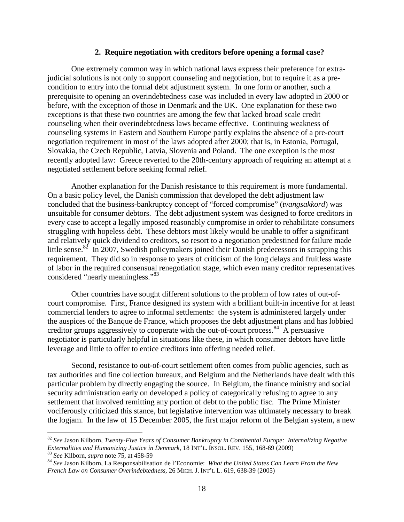#### **2. Require negotiation with creditors before opening a formal case?**

One extremely common way in which national laws express their preference for extrajudicial solutions is not only to support counseling and negotiation, but to require it as a precondition to entry into the formal debt adjustment system. In one form or another, such a prerequisite to opening an overindebtedness case was included in every law adopted in 2000 or before, with the exception of those in Denmark and the UK. One explanation for these two exceptions is that these two countries are among the few that lacked broad scale credit counseling when their overindebtedness laws became effective. Continuing weakness of counseling systems in Eastern and Southern Europe partly explains the absence of a pre-court negotiation requirement in most of the laws adopted after 2000; that is, in Estonia, Portugal, Slovakia, the Czech Republic, Latvia, Slovenia and Poland. The one exception is the most recently adopted law: Greece reverted to the 20th-century approach of requiring an attempt at a negotiated settlement before seeking formal relief.

Another explanation for the Danish resistance to this requirement is more fundamental. On a basic policy level, the Danish commission that developed the debt adjustment law concluded that the business-bankruptcy concept of "forced compromise" (*tvangsakkord*) was unsuitable for consumer debtors. The debt adjustment system was designed to force creditors in every case to accept a legally imposed reasonably compromise in order to rehabilitate consumers struggling with hopeless debt. These debtors most likely would be unable to offer a significant and relatively quick dividend to creditors, so resort to a negotiation predestined for failure made little sense.<sup>82</sup> In 2007, Swedish policymakers joined their Danish predecessors in scrapping this requirement. They did so in response to years of criticism of the long delays and fruitless waste of labor in the required consensual renegotiation stage, which even many creditor representatives considered "nearly meaningless."<sup>83</sup>

Other countries have sought different solutions to the problem of low rates of out-ofcourt compromise. First, France designed its system with a brilliant built-in incentive for at least commercial lenders to agree to informal settlements: the system is administered largely under the auspices of the Banque de France, which proposes the debt adjustment plans and has lobbied creditor groups aggressively to cooperate with the out-of-court process.<sup>84</sup> A persuasive negotiator is particularly helpful in situations like these, in which consumer debtors have little leverage and little to offer to entice creditors into offering needed relief.

Second, resistance to out-of-court settlement often comes from public agencies, such as tax authorities and fine collection bureaux, and Belgium and the Netherlands have dealt with this particular problem by directly engaging the source. In Belgium, the finance ministry and social security administration early on developed a policy of categorically refusing to agree to any settlement that involved remitting any portion of debt to the public fisc. The Prime Minister vociferously criticized this stance, but legislative intervention was ultimately necessary to break the logjam. In the law of 15 December 2005, the first major reform of the Belgian system, a new

<sup>&</sup>lt;sup>82</sup> *See* Jason Kilborn, *Twenty-Five Years of Consumer Bankruptcy in Continental Europe: Internalizing Negative Externalities and Humanizing Justice in Denmark, 18 INT'L. INSOL. REV. 155, 168-69 (2009)* <sup>83</sup> See Kilborn, supra note 75, at 458-59<br><sup>84</sup> See Jason Kilborn, La Responsabilisation de l'Economie: What the United States Can Learn From the New

*French Law on Consumer Overindebtedness,* 26 MICH. J. INT'L L. 619, 638-39 (2005)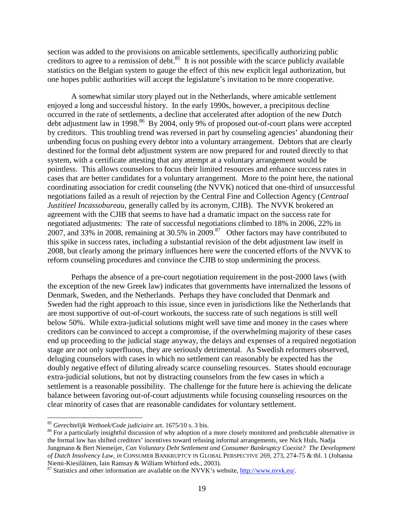section was added to the provisions on amicable settlements, specifically authorizing public creditors to agree to a remission of debt.<sup>85</sup> It is not possible with the scarce publicly available statistics on the Belgian system to gauge the effect of this new explicit legal authorization, but one hopes public authorities will accept the legislature's invitation to be more cooperative.

A somewhat similar story played out in the Netherlands, where amicable settlement enjoyed a long and successful history. In the early 1990s, however, a precipitous decline occurred in the rate of settlements, a decline that accelerated after adoption of the new Dutch debt adjustment law in 1998.<sup>86</sup> By 2004, only 9% of proposed out-of-court plans were accepted by creditors. This troubling trend was reversed in part by counseling agencies' abandoning their unbending focus on pushing every debtor into a voluntary arrangement. Debtors that are clearly destined for the formal debt adjustment system are now prepared for and routed directly to that system, with a certificate attesting that any attempt at a voluntary arrangement would be pointless. This allows counselors to focus their limited resources and enhance success rates in cases that are better candidates for a voluntary arrangement. More to the point here, the national coordinating association for credit counseling (the NVVK) noticed that one-third of unsuccessful negotiations failed as a result of rejection by the Central Fine and Collection Agency (*Centraal Justitieel Incassobureau*, generally called by its acronym, CJIB). The NVVK brokered an agreement with the CJIB that seems to have had a dramatic impact on the success rate for negotiated adjustments: The rate of successful negotiations climbed to 18% in 2006, 22% in 2007, and 33% in 2008, remaining at 30.5% in 2009.<sup>87</sup> Other factors may have contributed to this spike in success rates, including a substantial revision of the debt adjustment law itself in 2008, but clearly among the primary influences here were the concerted efforts of the NVVK to reform counseling procedures and convince the CJIB to stop undermining the process.

Perhaps the absence of a pre-court negotiation requirement in the post-2000 laws (with the exception of the new Greek law) indicates that governments have internalized the lessons of Denmark, Sweden, and the Netherlands. Perhaps they have concluded that Denmark and Sweden had the right approach to this issue, since even in jurisdictions like the Netherlands that are most supportive of out-of-court workouts, the success rate of such negations is still well below 50%. While extra-judicial solutions might well save time and money in the cases where creditors can be convinced to accept a compromise, if the overwhelming majority of these cases end up proceeding to the judicial stage anyway, the delays and expenses of a required negotiation stage are not only superfluous, they are seriously detrimental. As Swedish reformers observed, deluging counselors with cases in which no settlement can reasonably be expected has the doubly negative effect of diluting already scarce counseling resources. States should encourage extra-judicial solutions, but not by distracting counselors from the few cases in which a settlement is a reasonable possibility. The challenge for the future here is achieving the delicate balance between favoring out-of-court adjustments while focusing counseling resources on the clear minority of cases that are reasonable candidates for voluntary settlement.

<sup>&</sup>lt;sup>85</sup> *Gerechtelijk Wetboek/Code judiciaire* art. 1675/10 s. 3 bis.<br><sup>86</sup> For a particularly insightful discussion of why adoption of a more closely monitored and predictable alternative in the formal law has shifted creditors' incentives toward refusing informal arrangements, see Nick Huls, Nadja Jungmann & Bert Niemeijer, *Can Voluntary Debt Settlement and Consumer Bankruptcy Coexist? The Development of Dutch Insolvency Law, in* CONSUMER BANKRUPTCY IN GLOBAL PERSPECTIVE 269, 273, 274-75 & tbl. 1 (Johanna

 $N^2$  Statistics and other information are available on the NVVK's website, [http://www.nvvk.eu/.](http://www.nvvk.eu/)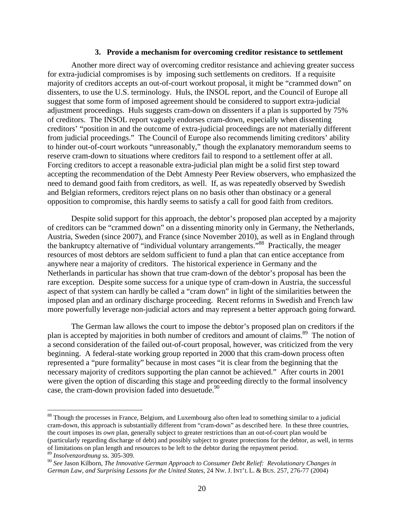#### **3. Provide a mechanism for overcoming creditor resistance to settlement**

Another more direct way of overcoming creditor resistance and achieving greater success for extra-judicial compromises is by imposing such settlements on creditors. If a requisite majority of creditors accepts an out-of-court workout proposal, it might be "crammed down" on dissenters, to use the U.S. terminology. Huls, the INSOL report, and the Council of Europe all suggest that some form of imposed agreement should be considered to support extra-judicial adjustment proceedings. Huls suggests cram-down on dissenters if a plan is supported by 75% of creditors. The INSOL report vaguely endorses cram-down, especially when dissenting creditors' "position in and the outcome of extra-judicial proceedings are not materially different from judicial proceedings." The Council of Europe also recommends limiting creditors' ability to hinder out-of-court workouts "unreasonably," though the explanatory memorandum seems to reserve cram-down to situations where creditors fail to respond to a settlement offer at all. Forcing creditors to accept a reasonable extra-judicial plan might be a solid first step toward accepting the recommendation of the Debt Amnesty Peer Review observers, who emphasized the need to demand good faith from creditors, as well. If, as was repeatedly observed by Swedish and Belgian reformers, creditors reject plans on no basis other than obstinacy or a general opposition to compromise, this hardly seems to satisfy a call for good faith from creditors.

Despite solid support for this approach, the debtor's proposed plan accepted by a majority of creditors can be "crammed down" on a dissenting minority only in Germany, the Netherlands, Austria, Sweden (since 2007), and France (since November 2010), as well as in England through the bankruptcy alternative of "individual voluntary arrangements."<sup>88</sup> Practically, the meager resources of most debtors are seldom sufficient to fund a plan that can entice acceptance from anywhere near a majority of creditors. The historical experience in Germany and the Netherlands in particular has shown that true cram-down of the debtor's proposal has been the rare exception. Despite some success for a unique type of cram-down in Austria, the successful aspect of that system can hardly be called a "cram down" in light of the similarities between the imposed plan and an ordinary discharge proceeding. Recent reforms in Swedish and French law more powerfully leverage non-judicial actors and may represent a better approach going forward.

The German law allows the court to impose the debtor's proposed plan on creditors if the plan is accepted by majorities in both number of creditors and amount of claims.<sup>89</sup> The notion of a second consideration of the failed out-of-court proposal, however, was criticized from the very beginning. A federal-state working group reported in 2000 that this cram-down process often represented a "pure formality" because in most cases "it is clear from the beginning that the necessary majority of creditors supporting the plan cannot be achieved." After courts in 2001 were given the option of discarding this stage and proceeding directly to the formal insolvency case, the cram-down provision faded into desuetude.<sup>90</sup>

<sup>&</sup>lt;sup>88</sup> Though the processes in France, Belgium, and Luxembourg also often lead to something similar to a judicial cram-down, this approach is substantially different from "cram-down" as described here. In these three countries, the court imposes its *own* plan, generally subject to greater restrictions than an out-of-court plan would be (particularly regarding discharge of debt) and possibly subject to greater protections for the debtor, as well, in terms of limitations on plan length and resources to be left to the debtor during the repayment period. <sup>89</sup> *Insolvenzordnung* ss. 305-309.

<sup>90</sup> *See* Jason Kilborn, *The Innovative German Approach to Consumer Debt Relief: Revolutionary Changes in German Law, and Surprising Lessons for the United States,* 24 NW. J. INT'L L. & BUS. 257, 276-77 (2004)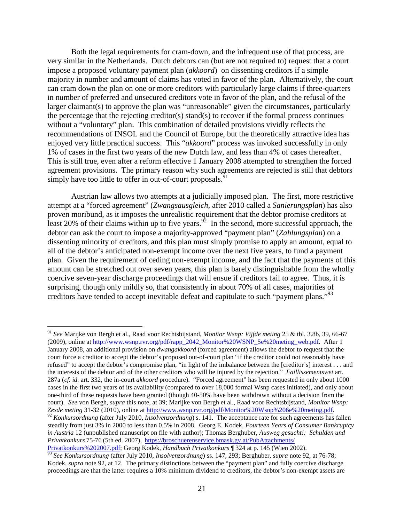Both the legal requirements for cram-down, and the infrequent use of that process, are very similar in the Netherlands. Dutch debtors can (but are not required to) request that a court impose a proposed voluntary payment plan (*akkoord*) on dissenting creditors if a simple majority in number and amount of claims has voted in favor of the plan. Alternatively, the court can cram down the plan on one or more creditors with particularly large claims if three-quarters in number of preferred and unsecured creditors vote in favor of the plan, and the refusal of the larger claimant(s) to approve the plan was "unreasonable" given the circumstances, particularly the percentage that the rejecting creditor(s) stand(s) to recover if the formal process continues without a "voluntary" plan. This combination of detailed provisions vividly reflects the recommendations of INSOL and the Council of Europe, but the theoretically attractive idea has enjoyed very little practical success. This "*akkoord*" process was invoked successfully in only 1% of cases in the first two years of the new Dutch law, and less than 4% of cases thereafter. This is still true, even after a reform effective 1 January 2008 attempted to strengthen the forced agreement provisions. The primary reason why such agreements are rejected is still that debtors simply have too little to offer in out-of-court proposals.<sup>91</sup>

Austrian law allows two attempts at a judicially imposed plan. The first, more restrictive attempt at a "forced agreement" (*Zwangsausgleich*, after 2010 called a *Sanierungsplan*) has also proven moribund, as it imposes the unrealistic requirement that the debtor promise creditors at least 20% of their claims within up to five years.<sup>92</sup> In the second, more successful approach, the debtor can ask the court to impose a majority-approved "payment plan" (*Zahlungsplan*) on a dissenting minority of creditors, and this plan must simply promise to apply an amount, equal to all of the debtor's anticipated non-exempt income over the next five years, to fund a payment plan. Given the requirement of ceding non-exempt income, and the fact that the payments of this amount can be stretched out over seven years, this plan is barely distinguishable from the wholly coercive seven-year discharge proceedings that will ensue if creditors fail to agree. Thus, it is surprising, though only mildly so, that consistently in about 70% of all cases, majorities of creditors have tended to accept inevitable defeat and capitulate to such "payment plans."<sup>93</sup>

[Privatkonkurs%202007.pdf;](https://broschuerenservice.bmask.gv.at/PubAttachments/%20Privatkonkurs%202007.pdf) Georg Kodek, *Handbuch Privatkonkurs* ¶ 324 at p. 145 (Wien 2002).

 <sup>91</sup> *See* Marijke von Bergh et al., Raad voor Rechtsbijstand, *Monitor Wsnp: Vijfde meting* 25 & tbl. 3.8b, 39, 66-67 (2009), online at [http://www.wsnp.rvr.org/pdf/rapp\\_2042\\_Monitor%20WSNP\\_5e%20meting\\_web.pdf.](http://www.wsnp.rvr.org/pdf/rapp_2042_Monitor%20WSNP_5e%20meting_web.pdf) After 1 January 2008, an additional provision on *dwangakkoord* (forced agreement) allows the debtor to request that the court force a creditor to accept the debtor's proposed out-of-court plan "if the creditor could not reasonably have refused" to accept the debtor's compromise plan, "in light of the imbalance between the [creditor's] interest . . . and the interests of the debtor and of the other creditors who will be injured by the rejection." *Faillissementswet* art. 287a (*cf. id.* art. 332, the in-court *akkoord* procedure). "Forced agreement" has been requested in only about 1000 cases in the first two years of its availability (compared to over 18,000 formal Wsnp cases initiated), and only about one-third of these requests have been granted (though 40-50% have been withdrawn without a decision from the court). *See* von Bergh, *supra* this note, at 39; Marijke von Bergh et al., Raad voor Rechtsbijstand, *Monitor Wsnp:* Zesde meting 31-32 (2010), online at http://www.wsnp.rvr.org/pdf/Monitor%20Wsnp%206e%20meting.pdf.

 $^{92}$  Konkursordnung (after July 2010, *Insolvenzordnung*) s. 141. The acceptance rate for such agreements has fallen steadily from just 3% in 2000 to less than 0.5% in 2008. Georg E. Kodek, *Fourteen Years of Consumer Bankruptcy in Austria* 12 (unpublished manuscript on file with author); Thomas Berghuber, *Ausweg gesucht!: Schulden und Privatkonkurs* 75-76 (5th ed. 2007), [https://broschuerenservice.bmask.gv.at/PubAttachments/](https://broschuerenservice.bmask.gv.at/PubAttachments/%20Privatkonkurs%202007.pdf) 

<sup>93</sup> *See Konkursordnung* (after July 2010, *Insolvenzordnung*) ss. 147, 293; Berghuber, *supra* note 92, at 76-78; Kodek, *supra* note 92, at 12. The primary distinctions between the "payment plan" and fully coercive discharge proceedings are that the latter requires a 10% minimum dividend to creditors, the debtor's non-exempt assets are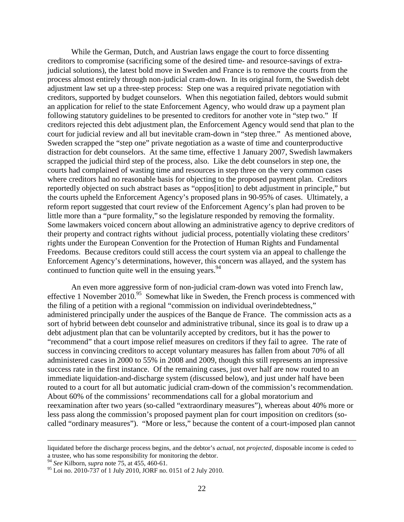While the German, Dutch, and Austrian laws engage the court to force dissenting creditors to compromise (sacrificing some of the desired time- and resource-savings of extrajudicial solutions), the latest bold move in Sweden and France is to remove the courts from the process almost entirely through non-judicial cram-down. In its original form, the Swedish debt adjustment law set up a three-step process: Step one was a required private negotiation with creditors, supported by budget counselors. When this negotiation failed, debtors would submit an application for relief to the state Enforcement Agency, who would draw up a payment plan following statutory guidelines to be presented to creditors for another vote in "step two." If creditors rejected this debt adjustment plan, the Enforcement Agency would send that plan to the court for judicial review and all but inevitable cram-down in "step three." As mentioned above, Sweden scrapped the "step one" private negotiation as a waste of time and counterproductive distraction for debt counselors. At the same time, effective 1 January 2007, Swedish lawmakers scrapped the judicial third step of the process, also. Like the debt counselors in step one, the courts had complained of wasting time and resources in step three on the very common cases where creditors had no reasonable basis for objecting to the proposed payment plan. Creditors reportedly objected on such abstract bases as "oppos[ition] to debt adjustment in principle," but the courts upheld the Enforcement Agency's proposed plans in 90-95% of cases. Ultimately, a reform report suggested that court review of the Enforcement Agency's plan had proven to be little more than a "pure formality," so the legislature responded by removing the formality. Some lawmakers voiced concern about allowing an administrative agency to deprive creditors of their property and contract rights without judicial process, potentially violating these creditors' rights under the European Convention for the Protection of Human Rights and Fundamental Freedoms. Because creditors could still access the court system via an appeal to challenge the Enforcement Agency's determinations, however, this concern was allayed, and the system has continued to function quite well in the ensuing years.  $94$ 

An even more aggressive form of non-judicial cram-down was voted into French law, effective 1 November  $2010^{95}$  Somewhat like in Sweden, the French process is commenced with the filing of a petition with a regional "commission on individual overindebtedness," administered principally under the auspices of the Banque de France. The commission acts as a sort of hybrid between debt counselor and administrative tribunal, since its goal is to draw up a debt adjustment plan that can be voluntarily accepted by creditors, but it has the power to "recommend" that a court impose relief measures on creditors if they fail to agree. The rate of success in convincing creditors to accept voluntary measures has fallen from about 70% of all administered cases in 2000 to 55% in 2008 and 2009, though this still represents an impressive success rate in the first instance. Of the remaining cases, just over half are now routed to an immediate liquidation-and-discharge system (discussed below), and just under half have been routed to a court for all but automatic judicial cram-down of the commission's recommendation. About 60% of the commissions' recommendations call for a global moratorium and reexamination after two years (so-called "extraordinary measures"), whereas about 40% more or less pass along the commission's proposed payment plan for court imposition on creditors (socalled "ordinary measures"). "More or less," because the content of a court-imposed plan cannot

 $\overline{a}$ 

liquidated before the discharge process begins, and the debtor's *actual*, not *projected,* disposable income is ceded to a trustee, who has some responsibility for monitoring the debtor. <sup>94</sup> *See* Kilborn, *supra* note 75, at 455, 460-61.

<sup>95</sup> Loi no. 2010-737 of 1 July 2010, JORF no. 0151 of 2 July 2010.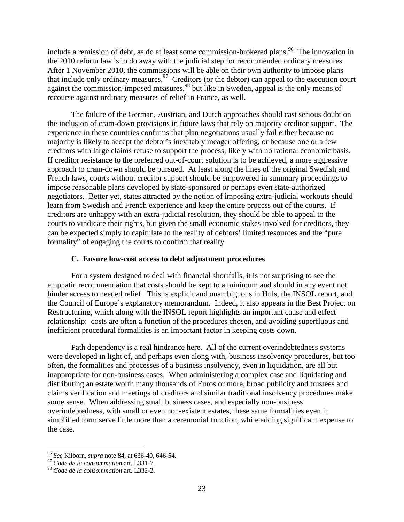include a remission of debt, as do at least some commission-brokered plans.<sup>96</sup> The innovation in the 2010 reform law is to do away with the judicial step for recommended ordinary measures. After 1 November 2010, the commissions will be able on their own authority to impose plans that include only ordinary measures.  $\frac{97}{7}$  Creditors (or the debtor) can appeal to the execution court against the commission-imposed measures,<sup>98</sup> but like in Sweden, appeal is the only means of recourse against ordinary measures of relief in France, as well.

The failure of the German, Austrian, and Dutch approaches should cast serious doubt on the inclusion of cram-down provisions in future laws that rely on majority creditor support. The experience in these countries confirms that plan negotiations usually fail either because no majority is likely to accept the debtor's inevitably meager offering, or because one or a few creditors with large claims refuse to support the process, likely with no rational economic basis. If creditor resistance to the preferred out-of-court solution is to be achieved, a more aggressive approach to cram-down should be pursued. At least along the lines of the original Swedish and French laws, courts without creditor support should be empowered in summary proceedings to impose reasonable plans developed by state-sponsored or perhaps even state-authorized negotiators. Better yet, states attracted by the notion of imposing extra-judicial workouts should learn from Swedish and French experience and keep the entire process out of the courts. If creditors are unhappy with an extra-judicial resolution, they should be able to appeal to the courts to vindicate their rights, but given the small economic stakes involved for creditors, they can be expected simply to capitulate to the reality of debtors' limited resources and the "pure formality" of engaging the courts to confirm that reality.

## **C. Ensure low-cost access to debt adjustment procedures**

For a system designed to deal with financial shortfalls, it is not surprising to see the emphatic recommendation that costs should be kept to a minimum and should in any event not hinder access to needed relief. This is explicit and unambiguous in Huls, the INSOL report, and the Council of Europe's explanatory memorandum. Indeed, it also appears in the Best Project on Restructuring, which along with the INSOL report highlights an important cause and effect relationship: costs are often a function of the procedures chosen, and avoiding superfluous and inefficient procedural formalities is an important factor in keeping costs down.

Path dependency is a real hindrance here. All of the current overindebtedness systems were developed in light of, and perhaps even along with, business insolvency procedures, but too often, the formalities and processes of a business insolvency, even in liquidation, are all but inappropriate for non-business cases. When administering a complex case and liquidating and distributing an estate worth many thousands of Euros or more, broad publicity and trustees and claims verification and meetings of creditors and similar traditional insolvency procedures make some sense. When addressing small business cases, and especially non-business overindebtedness, with small or even non-existent estates, these same formalities even in simplified form serve little more than a ceremonial function, while adding significant expense to the case.

<sup>96</sup> *See* Kilborn, *supra* note 84, at 636-40, 646-54. <sup>97</sup> *Code de la consommation* art. L331-7.

<sup>98</sup> *Code de la consommation* art. L332-2.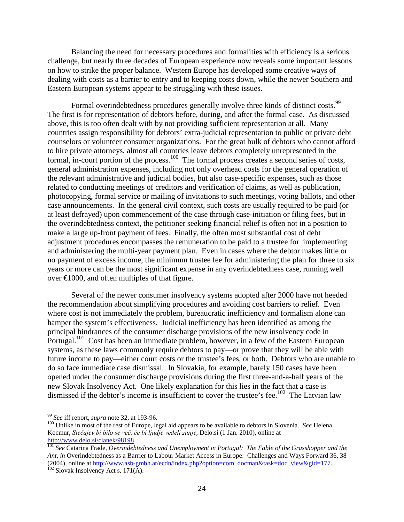Balancing the need for necessary procedures and formalities with efficiency is a serious challenge, but nearly three decades of European experience now reveals some important lessons on how to strike the proper balance. Western Europe has developed some creative ways of dealing with costs as a barrier to entry and to keeping costs down, while the newer Southern and Eastern European systems appear to be struggling with these issues.

Formal overindebtedness procedures generally involve three kinds of distinct costs.<sup>99</sup> The first is for representation of debtors before, during, and after the formal case. As discussed above, this is too often dealt with by not providing sufficient representation at all. Many countries assign responsibility for debtors' extra-judicial representation to public or private debt counselors or volunteer consumer organizations. For the great bulk of debtors who cannot afford to hire private attorneys, almost all countries leave debtors completely unrepresented in the formal, in-court portion of the process.<sup>100</sup> The formal process creates a second series of costs, general administration expenses, including not only overhead costs for the general operation of the relevant administrative and judicial bodies, but also case-specific expenses, such as those related to conducting meetings of creditors and verification of claims, as well as publication, photocopying, formal service or mailing of invitations to such meetings, voting ballots, and other case announcements. In the general civil context, such costs are usually required to be paid (or at least defrayed) upon commencement of the case through case-initiation or filing fees, but in the overindebtedness context, the petitioner seeking financial relief is often not in a position to make a large up-front payment of fees. Finally, the often most substantial cost of debt adjustment procedures encompasses the remuneration to be paid to a trustee for implementing and administering the multi-year payment plan. Even in cases where the debtor makes little or no payment of excess income, the minimum trustee fee for administering the plan for three to six years or more can be the most significant expense in any overindebtedness case, running well over  $\epsilon 1000$ , and often multiples of that figure.

Several of the newer consumer insolvency systems adopted after 2000 have not heeded the recommendation about simplifying procedures and avoiding cost barriers to relief. Even where cost is not immediately the problem, bureaucratic inefficiency and formalism alone can hamper the system's effectiveness. Judicial inefficiency has been identified as among the principal hindrances of the consumer discharge provisions of the new insolvency code in Portugal.<sup>101</sup> Cost has been an immediate problem, however, in a few of the Eastern European systems, as these laws commonly require debtors to pay—or prove that they will be able with future income to pay—either court costs or the trustee's fees, or both. Debtors who are unable to do so face immediate case dismissal. In Slovakia, for example, barely 150 cases have been opened under the consumer discharge provisions during the first three-and-a-half years of the new Slovak Insolvency Act. One likely explanation for this lies in the fact that a case is dismissed if the debtor's income is insufficient to cover the trustee's fee.<sup>102</sup> The Latvian law

<sup>&</sup>lt;sup>99</sup> *See* iff report, *supra* note 32, at 193-96.<br><sup>100</sup> Unlike in most of the rest of Europe, legal aid appears to be available to debtors in Slovenia. *See* Helena Kocmur, *Stečajev bi bilo še več, če bi ljudje vedeli zanje,* Delo.si (1 Jan. 2010), online at

<sup>&</sup>lt;sup>[101](http://www.delo.si/clanek/98198)</sup> See Catarina Frade, *Overindebtedness and Unemployment in Portugal: The Fable of the Grasshopper and the Ant, in* Overindebtedness as a Barrier to Labour Market Access in Europe: Challenges and Ways Forward 36, 38 (2004), online at  $\frac{http://www.asb-gmbh.at/ecdn/index.php?option=com-docman&task=doc-view&gid=177. 102$  Slovak Insolvency Act s. 171(A).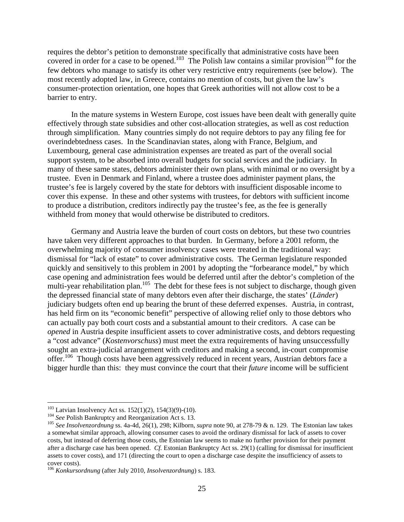requires the debtor's petition to demonstrate specifically that administrative costs have been covered in order for a case to be opened.<sup>103</sup> The Polish law contains a similar provision<sup>104</sup> for the few debtors who manage to satisfy its other very restrictive entry requirements (see below). The most recently adopted law, in Greece, contains no mention of costs, but given the law's consumer-protection orientation, one hopes that Greek authorities will not allow cost to be a barrier to entry.

In the mature systems in Western Europe, cost issues have been dealt with generally quite effectively through state subsidies and other cost-allocation strategies, as well as cost reduction through simplification. Many countries simply do not require debtors to pay any filing fee for overindebtedness cases. In the Scandinavian states, along with France, Belgium, and Luxembourg, general case administration expenses are treated as part of the overall social support system, to be absorbed into overall budgets for social services and the judiciary. In many of these same states, debtors administer their own plans, with minimal or no oversight by a trustee. Even in Denmark and Finland, where a trustee does administer payment plans, the trustee's fee is largely covered by the state for debtors with insufficient disposable income to cover this expense. In these and other systems with trustees, for debtors with sufficient income to produce a distribution, creditors indirectly pay the trustee's fee, as the fee is generally withheld from money that would otherwise be distributed to creditors.

Germany and Austria leave the burden of court costs on debtors, but these two countries have taken very different approaches to that burden. In Germany, before a 2001 reform, the overwhelming majority of consumer insolvency cases were treated in the traditional way: dismissal for "lack of estate" to cover administrative costs. The German legislature responded quickly and sensitively to this problem in 2001 by adopting the "forbearance model," by which case opening and administration fees would be deferred until after the debtor's completion of the multi-year rehabilitation plan.<sup>105</sup> The debt for these fees is not subject to discharge, though given the depressed financial state of many debtors even after their discharge, the states' (*Länder*) judiciary budgets often end up bearing the brunt of these deferred expenses. Austria, in contrast, has held firm on its "economic benefit" perspective of allowing relief only to those debtors who can actually pay both court costs and a substantial amount to their creditors. A case can be *opened* in Austria despite insufficient assets to cover administrative costs, and debtors requesting a "cost advance" (*Kostenvorschuss*) must meet the extra requirements of having unsuccessfully sought an extra-judicial arrangement with creditors and making a second, in-court compromise offer.<sup>106</sup> Though costs have been aggressively reduced in recent years, Austrian debtors face a bigger hurdle than this: they must convince the court that their *future* income will be sufficient

<sup>&</sup>lt;sup>103</sup> Latvian Insolvency Act ss. 152(1)(2), 154(3)(9)-(10).<br><sup>104</sup> See Polish Bankruptcy and Reorganization Act s. 13.<br><sup>105</sup> See Insolvenzordnung ss. 4a-4d, 26(1), 298; Kilborn, *supra* note 90, at 278-79 & n. 129. The Est a somewhat similar approach, allowing consumer cases to avoid the ordinary dismissal for lack of assets to cover costs, but instead of deferring those costs, the Estonian law seems to make no further provision for their payment after a discharge case has been opened. *Cf.* Estonian Bankruptcy Act ss. 29(1) (calling for dismissal for insufficient assets to cover costs), and 171 (directing the court to open a discharge case despite the insufficiency of assets to cover costs).

<sup>106</sup> *Konkursordnung* (after July 2010, *Insolvenzordnung*) s. 183.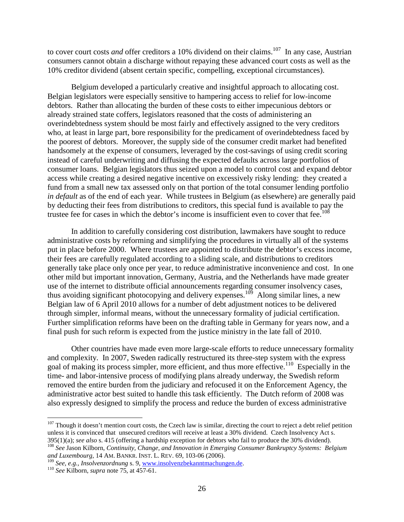to cover court costs *and* offer creditors a 10% dividend on their claims.<sup>107</sup> In any case, Austrian consumers cannot obtain a discharge without repaying these advanced court costs as well as the 10% creditor dividend (absent certain specific, compelling, exceptional circumstances).

Belgium developed a particularly creative and insightful approach to allocating cost. Belgian legislators were especially sensitive to hampering access to relief for low-income debtors. Rather than allocating the burden of these costs to either impecunious debtors or already strained state coffers, legislators reasoned that the costs of administering an overindebtedness system should be most fairly and effectively assigned to the very creditors who, at least in large part, bore responsibility for the predicament of overindebtedness faced by the poorest of debtors. Moreover, the supply side of the consumer credit market had benefited handsomely at the expense of consumers, leveraged by the cost-savings of using credit scoring instead of careful underwriting and diffusing the expected defaults across large portfolios of consumer loans. Belgian legislators thus seized upon a model to control cost and expand debtor access while creating a desired negative incentive on excessively risky lending: they created a fund from a small new tax assessed only on that portion of the total consumer lending portfolio *in default* as of the end of each year. While trustees in Belgium (as elsewhere) are generally paid by deducting their fees from distributions to creditors, this special fund is available to pay the trustee fee for cases in which the debtor's income is insufficient even to cover that fee.<sup>108</sup>

In addition to carefully considering cost distribution, lawmakers have sought to reduce administrative costs by reforming and simplifying the procedures in virtually all of the systems put in place before 2000. Where trustees are appointed to distribute the debtor's excess income, their fees are carefully regulated according to a sliding scale, and distributions to creditors generally take place only once per year, to reduce administrative inconvenience and cost. In one other mild but important innovation, Germany, Austria, and the Netherlands have made greater use of the internet to distribute official announcements regarding consumer insolvency cases, thus avoiding significant photocopying and delivery expenses.<sup>109</sup> Along similar lines, a new Belgian law of 6 April 2010 allows for a number of debt adjustment notices to be delivered through simpler, informal means, without the unnecessary formality of judicial certification. Further simplification reforms have been on the drafting table in Germany for years now, and a final push for such reform is expected from the justice ministry in the late fall of 2010.

Other countries have made even more large-scale efforts to reduce unnecessary formality and complexity. In 2007, Sweden radically restructured its three-step system with the express goal of making its process simpler, more efficient, and thus more effective.<sup>110</sup> Especially in the time- and labor-intensive process of modifying plans already underway, the Swedish reform removed the entire burden from the judiciary and refocused it on the Enforcement Agency, the administrative actor best suited to handle this task efficiently. The Dutch reform of 2008 was also expressly designed to simplify the process and reduce the burden of excess administrative

<sup>&</sup>lt;sup>107</sup> Though it doesn't mention court costs, the Czech law is similar, directing the court to reject a debt relief petition unless it is convinced that unsecured creditors will receive at least a 30% dividend. Czech Insolvency Act s.<br>395(1)(a); *see also* s. 415 (offering a hardship exception for debtors who fail to produce the 30% dividend).

<sup>&</sup>lt;sup>108</sup> See Jason Kilborn, Continuity, Change, and Innovation in Emerging Consumer Bankruptcy Systems: Belgium *and Luxembourg, 14 AM. BANKR. INST. L. REV. 69, 103-06 (2006).* <sup>109</sup> *See, e.g., Insolvenzordnung* s. 9, <u>www.insolvenzbekanntmachungen.de</u>. <sup>110</sup> *See* Kilborn, *supra* note 75, at 457-61.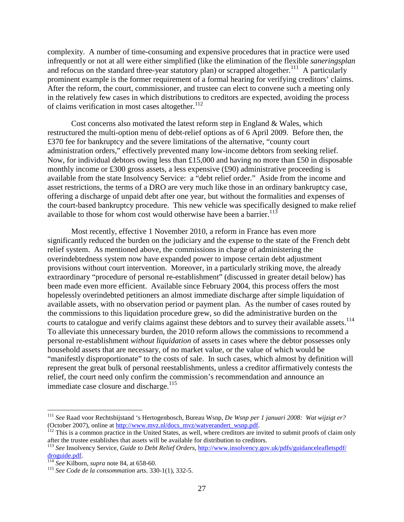complexity. A number of time-consuming and expensive procedures that in practice were used infrequently or not at all were either simplified (like the elimination of the flexible *saneringsplan* and refocus on the standard three-year statutory plan) or scrapped altogether.<sup>111</sup> A particularly prominent example is the former requirement of a formal hearing for verifying creditors' claims. After the reform, the court, commissioner, and trustee can elect to convene such a meeting only in the relatively few cases in which distributions to creditors are expected, avoiding the process of claims verification in most cases altogether.<sup>112</sup>

Cost concerns also motivated the latest reform step in England  $\&$  Wales, which restructured the multi-option menu of debt-relief options as of 6 April 2009. Before then, the £370 fee for bankruptcy and the severe limitations of the alternative, "county court administration orders," effectively prevented many low-income debtors from seeking relief. Now, for individual debtors owing less than £15,000 and having no more than £50 in disposable monthly income or £300 gross assets, a less expensive (£90) administrative proceeding is available from the state Insolvency Service: a "debt relief order." Aside from the income and asset restrictions, the terms of a DRO are very much like those in an ordinary bankruptcy case, offering a discharge of unpaid debt after one year, but without the formalities and expenses of the court-based bankruptcy procedure. This new vehicle was specifically designed to make relief available to those for whom cost would otherwise have been a barrier.<sup>113</sup>

Most recently, effective 1 November 2010, a reform in France has even more significantly reduced the burden on the judiciary and the expense to the state of the French debt relief system. As mentioned above, the commissions in charge of administering the overindebtedness system now have expanded power to impose certain debt adjustment provisions without court intervention. Moreover, in a particularly striking move, the already extraordinary "procedure of personal re-establishment" (discussed in greater detail below) has been made even more efficient. Available since February 2004, this process offers the most hopelessly overindebted petitioners an almost immediate discharge after simple liquidation of available assets, with no observation period or payment plan. As the number of cases routed by the commissions to this liquidation procedure grew, so did the administrative burden on the courts to catalogue and verify claims against these debtors and to survey their available assets.<sup>114</sup> To alleviate this unnecessary burden, the 2010 reform allows the commissions to recommend a personal re-establishment *without liquidation* of assets in cases where the debtor possesses only household assets that are necessary, of no market value, or the value of which would be "manifestly disproportionate" to the costs of sale. In such cases, which almost by definition will represent the great bulk of personal reestablishments, unless a creditor affirmatively contests the relief, the court need only confirm the commission's recommendation and announce an immediate case closure and discharge.<sup>115</sup>

 <sup>111</sup> *See* Raad voor Rechtsbijstand 's Hertogenbosch, Bureau Wsnp, *De Wsnp per 1 januari 2008: Wat wijzigt er?*  (October 2007), online a[t http://www.mvz.nl/docs\\_mvz/watverandert\\_wsnp.pdf.](http://www.mvz.nl/docs_mvz/watverandert_wsnp.pdf) 112 This is a common practice in the United States, as well, where creditors are invited to submit proofs of claim only

after the trustee establishes that assets will be available for distribution to creditors.

<sup>113</sup> *See* Insolvency Service, *Guide to Debt Relief Orders*, [http://www.insolvency.gov.uk/pdfs/guidanceleafletspdf/](http://www.insolvency.gov.uk/pdfs/guidanceleafletspdf/%20droguide.pdf)  [droguide.pdf. 114](http://www.insolvency.gov.uk/pdfs/guidanceleafletspdf/%20droguide.pdf) *See* Kilborn, *supra* note 84, at 658-60. <sup>115</sup> *See Code de la consommation* arts. 330-1(1), 332-5.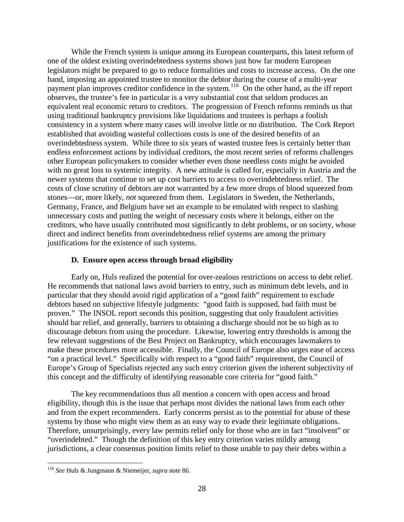While the French system is unique among its European counterparts, this latest reform of one of the oldest existing overindebtedness systems shows just how far modern European legislators might be prepared to go to reduce formalities and costs to increase access. On the one hand, imposing an appointed trustee to monitor the debtor during the course of a multi-year payment plan improves creditor confidence in the system.<sup>116</sup> On the other hand, as the iff report observes, the trustee's fee in particular is a very substantial cost that seldom produces an equivalent real economic return to creditors. The progression of French reforms reminds us that using traditional bankruptcy provisions like liquidations and trustees is perhaps a foolish consistency in a system where many cases will involve little or no distribution. The Cork Report established that avoiding wasteful collections costs is one of the desired benefits of an overindebtedness system. While three to six years of wasted trustee fees is certainly better than endless enforcement actions by individual creditors, the most recent series of reforms challenges other European policymakers to consider whether even those needless costs might be avoided with no great loss to systemic integrity. A new attitude is called for, especially in Austria and the newer systems that continue to set up cost barriers to access to overindebtedness relief. The costs of close scrutiny of debtors are not warranted by a few more drops of blood squeezed from stones—or, more likely, *not* squeezed from them. Legislators in Sweden, the Netherlands, Germany, France, and Belgium have set an example to be emulated with respect to slashing unnecessary costs and putting the weight of necessary costs where it belongs, either on the creditors, who have usually contributed most significantly to debt problems, or on society, whose direct and indirect benefits from overindebtedness relief systems are among the primary justifications for the existence of such systems.

# **D. Ensure open access through broad eligibility**

Early on, Huls realized the potential for over-zealous restrictions on access to debt relief. He recommends that national laws avoid barriers to entry, such as minimum debt levels, and in particular that they should avoid rigid application of a "good faith" requirement to exclude debtors based on subjective lifestyle judgments: "good faith is supposed, bad faith must be proven." The INSOL report seconds this position, suggesting that only fraudulent activities should bar relief, and generally, barriers to obtaining a discharge should not be so high as to discourage debtors from using the procedure. Likewise, lowering entry thresholds is among the few relevant suggestions of the Best Project on Bankruptcy, which encourages lawmakers to make these procedures more accessible. Finally, the Council of Europe also urges ease of access "on a practical level." Specifically with respect to a "good faith" requirement, the Council of Europe's Group of Specialists rejected any such entry criterion given the inherent subjectivity of this concept and the difficulty of identifying reasonable core criteria for "good faith."

The key recommendations thus all mention a concern with open access and broad eligibility, though this is the issue that perhaps most divides the national laws from each other and from the expert recommenders. Early concerns persist as to the potential for abuse of these systems by those who might view them as an easy way to evade their legitimate obligations. Therefore, unsurprisingly, every law permits relief only for those who are in fact "insolvent" or "overindebted." Though the definition of this key entry criterion varies mildly among jurisdictions, a clear consensus position limits relief to those unable to pay their debts within a

 <sup>116</sup> *See* Huls & Jungmann & Niemeijer, *supra* note 86.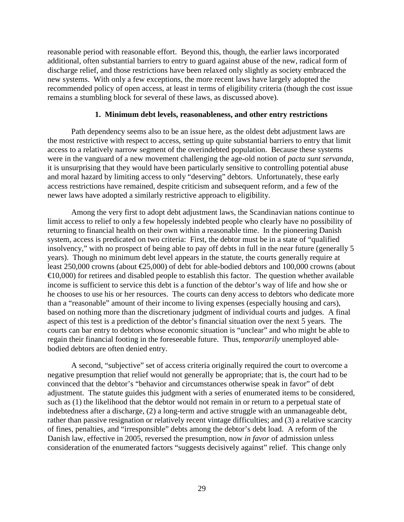reasonable period with reasonable effort. Beyond this, though, the earlier laws incorporated additional, often substantial barriers to entry to guard against abuse of the new, radical form of discharge relief, and those restrictions have been relaxed only slightly as society embraced the new systems. With only a few exceptions, the more recent laws have largely adopted the recommended policy of open access, at least in terms of eligibility criteria (though the cost issue remains a stumbling block for several of these laws, as discussed above).

## **1. Minimum debt levels, reasonableness, and other entry restrictions**

Path dependency seems also to be an issue here, as the oldest debt adjustment laws are the most restrictive with respect to access, setting up quite substantial barriers to entry that limit access to a relatively narrow segment of the overindebted population. Because these systems were in the vanguard of a new movement challenging the age-old notion of *pacta sunt servanda*, it is unsurprising that they would have been particularly sensitive to controlling potential abuse and moral hazard by limiting access to only "deserving" debtors. Unfortunately, these early access restrictions have remained, despite criticism and subsequent reform, and a few of the newer laws have adopted a similarly restrictive approach to eligibility.

Among the very first to adopt debt adjustment laws, the Scandinavian nations continue to limit access to relief to only a few hopelessly indebted people who clearly have no possibility of returning to financial health on their own within a reasonable time. In the pioneering Danish system, access is predicated on two criteria: First, the debtor must be in a state of "qualified insolvency," with no prospect of being able to pay off debts in full in the near future (generally 5 years). Though no minimum debt level appears in the statute, the courts generally require at least 250,000 crowns (about €25,000) of debt for able-bodied debtors and 100,000 crowns (about  $\triangleq$ 0,000) for retirees and disabled people to establish this factor. The question whether available income is sufficient to service this debt is a function of the debtor's way of life and how she or he chooses to use his or her resources. The courts can deny access to debtors who dedicate more than a "reasonable" amount of their income to living expenses (especially housing and cars), based on nothing more than the discretionary judgment of individual courts and judges. A final aspect of this test is a prediction of the debtor's financial situation over the next 5 years. The courts can bar entry to debtors whose economic situation is "unclear" and who might be able to regain their financial footing in the foreseeable future. Thus, *temporarily* unemployed ablebodied debtors are often denied entry.

A second, "subjective" set of access criteria originally required the court to overcome a negative presumption that relief would not generally be appropriate; that is, the court had to be convinced that the debtor's "behavior and circumstances otherwise speak in favor" of debt adjustment. The statute guides this judgment with a series of enumerated items to be considered, such as (1) the likelihood that the debtor would not remain in or return to a perpetual state of indebtedness after a discharge, (2) a long-term and active struggle with an unmanageable debt, rather than passive resignation or relatively recent vintage difficulties; and (3) a relative scarcity of fines, penalties, and "irresponsible" debts among the debtor's debt load. A reform of the Danish law, effective in 2005, reversed the presumption, now *in favor* of admission unless consideration of the enumerated factors "suggests decisively against" relief. This change only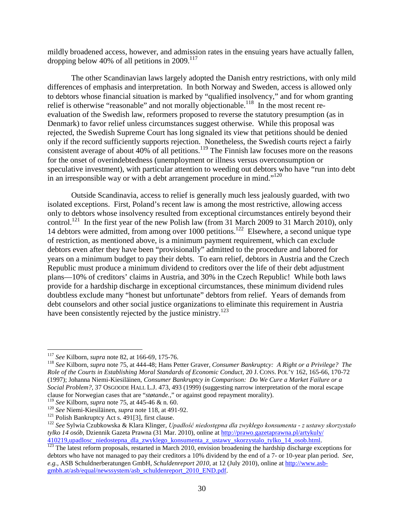mildly broadened access, however, and admission rates in the ensuing years have actually fallen, dropping below 40% of all petitions in 2009.<sup>117</sup>

The other Scandinavian laws largely adopted the Danish entry restrictions, with only mild differences of emphasis and interpretation. In both Norway and Sweden, access is allowed only to debtors whose financial situation is marked by "qualified insolvency," and for whom granting relief is otherwise "reasonable" and not morally objectionable.<sup>118</sup> In the most recent reevaluation of the Swedish law, reformers proposed to reverse the statutory presumption (as in Denmark) to favor relief unless circumstances suggest otherwise. While this proposal was rejected, the Swedish Supreme Court has long signaled its view that petitions should be denied only if the record sufficiently supports rejection. Nonetheless, the Swedish courts reject a fairly consistent average of about  $40\%$  of all petitions.<sup>119</sup> The Finnish law focuses more on the reasons for the onset of overindebtedness (unemployment or illness versus overconsumption or speculative investment), with particular attention to weeding out debtors who have "run into debt in an irresponsible way or with a debt arrangement procedure in mind."<sup>120</sup>

Outside Scandinavia, access to relief is generally much less jealously guarded, with two isolated exceptions. First, Poland's recent law is among the most restrictive, allowing access only to debtors whose insolvency resulted from exceptional circumstances entirely beyond their control.<sup>121</sup> In the first year of the new Polish law (from 31 March 2009 to 31 March 2010), only 14 debtors were admitted, from among over 1000 petitions.<sup>122</sup> Elsewhere, a second unique type of restriction, as mentioned above, is a minimum payment requirement, which can exclude debtors even after they have been "provisionally" admitted to the procedure and labored for years on a minimum budget to pay their debts. To earn relief, debtors in Austria and the Czech Republic must produce a minimum dividend to creditors over the life of their debt adjustment plans—10% of creditors' claims in Austria, and 30% in the Czech Republic! While both laws provide for a hardship discharge in exceptional circumstances, these minimum dividend rules doubtless exclude many "honest but unfortunate" debtors from relief. Years of demands from debt counselors and other social justice organizations to eliminate this requirement in Austria have been consistently rejected by the justice ministry.<sup>123</sup>

<sup>&</sup>lt;sup>117</sup> *See* Kilborn, *supra* note 82, at 166-69, 175-76.<br><sup>118</sup> *See* Kilborn, *supra* note 75, at 444-48; Hans Petter Graver, *Consumer Bankruptcy: A Right or a Privilege? The Role of the Courts in Establishing Moral Standards of Economic Conduct,* 20 J. CONS. POL'Y 162, 165-66, 170-72 (1997); Johanna Niemi-Kiesiläinen, *Consumer Bankruptcy in Comparison: Do We Cure a Market Failure or a Social Problem?,* 37 OSGOODE HALL L.J. 473, 493 (1999) (suggesting narrow interpretation of the moral escape clause for Norwegian cases that are "*støtande*.," or against good repayment morality).<br>
<sup>119</sup> See Kilborn, *supra* note 75, at 445-46 & n. 60.<br>
<sup>120</sup> See Niemi-Kiesiläinen, *supra* note 118, at 491-92.<br>
<sup>121</sup> Polish Bankr

*tylko 14 osób,* Dziennik Gazeta Prawna (31 Mar. 2010), online at [http://prawo.gazetaprawna.pl/artykuly/](http://prawo.gazetaprawna.pl/artykuly/%20410219,upadlosc_niedostepna_dla_zwyklego_konsumenta_z_ustawy_skorzystalo_tylko_14_osob.html) 

 $\frac{410219,approx.00880.0081}{123}$  $\frac{410219,approx.00880.0081}{123}$  $\frac{410219,approx.00880.0081}{123}$  The latest reform proposals, restarted in March 2010, envision broadening the hardship discharge exceptions for debtors who have not managed to pay their creditors a 10% dividend by the end of a 7- or 10-year plan period. *See, e.g.,* ASB Schuldnerberatungen GmbH, *Schuldenreport 2010*, at 12 (July 2010), online at [http://www.asb](http://www.asb-gmbh.at/asb/equal/newssystem/asb_schuldenreport_2010_END.pdf)[gmbh.at/asb/equal/newssystem/asb\\_schuldenreport\\_2010\\_END.pdf.](http://www.asb-gmbh.at/asb/equal/newssystem/asb_schuldenreport_2010_END.pdf)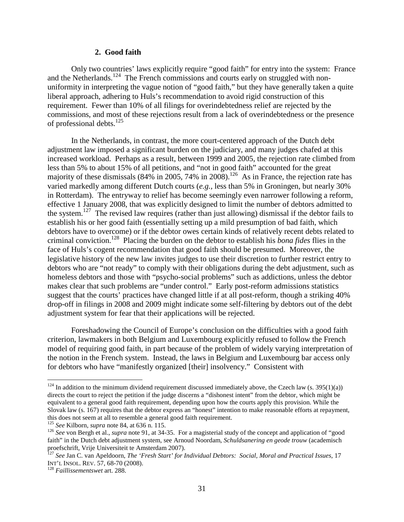#### **2. Good faith**

Only two countries' laws explicitly require "good faith" for entry into the system: France and the Netherlands.<sup>124</sup> The French commissions and courts early on struggled with nonuniformity in interpreting the vague notion of "good faith," but they have generally taken a quite liberal approach, adhering to Huls's recommendation to avoid rigid construction of this requirement. Fewer than 10% of all filings for overindebtedness relief are rejected by the commissions, and most of these rejections result from a lack of overindebtedness or the presence of professional debts.<sup>125</sup>

In the Netherlands, in contrast, the more court-centered approach of the Dutch debt adjustment law imposed a significant burden on the judiciary, and many judges chafed at this increased workload. Perhaps as a result, between 1999 and 2005, the rejection rate climbed from less than 5% to about 15% of all petitions, and "not in good faith" accounted for the great majority of these dismissals (84% in 2005, 74% in 2008).<sup>126</sup> As in France, the rejection rate has varied markedly among different Dutch courts (*e.g.,* less than 5% in Groningen, but nearly 30% in Rotterdam). The entryway to relief has become seemingly even narrower following a reform, effective 1 January 2008, that was explicitly designed to limit the number of debtors admitted to the system.127 The revised law requires (rather than just allowing) dismissal if the debtor fails to establish his or her good faith (essentially setting up a mild presumption of bad faith, which debtors have to overcome) or if the debtor owes certain kinds of relatively recent debts related to criminal conviction.128 Placing the burden on the debtor to establish his *bona fides* flies in the face of Huls's cogent recommendation that good faith should be presumed. Moreover, the legislative history of the new law invites judges to use their discretion to further restrict entry to debtors who are "not ready" to comply with their obligations during the debt adjustment, such as homeless debtors and those with "psycho-social problems" such as addictions, unless the debtor makes clear that such problems are "under control." Early post-reform admissions statistics suggest that the courts' practices have changed little if at all post-reform, though a striking 40% drop-off in filings in 2008 and 2009 might indicate some self-filtering by debtors out of the debt adjustment system for fear that their applications will be rejected.

Foreshadowing the Council of Europe's conclusion on the difficulties with a good faith criterion, lawmakers in both Belgium and Luxembourg explicitly refused to follow the French model of requiring good faith, in part because of the problem of widely varying interpretation of the notion in the French system. Instead, the laws in Belgium and Luxembourg bar access only for debtors who have "manifestly organized [their] insolvency." Consistent with

<sup>&</sup>lt;sup>124</sup> In addition to the minimum dividend requirement discussed immediately above, the Czech law (s. 395(1)(a)) directs the court to reject the petition if the judge discerns a "dishonest intent" from the debtor, which might be equivalent to a general good faith requirement, depending upon how the courts apply this provision. While the Slovak law (s. 167) requires that the debtor express an "honest" intention to make reasonable efforts at repayment, this does not seem at all to resemble a general good faith requirement.<br><sup>125</sup> See Kilborn, *supra* note 84, at 636 n. 115.

<sup>&</sup>lt;sup>126</sup> See von Bergh et al., *supra* note 91, at 34-35. For a magisterial study of the concept and application of "good faith" in the Dutch debt adjustment system, see Arnoud Noordam, *Schuldsanering en geode trouw* (academisch proefschrift, Vrije Universiteit te Amsterdam 2007).

<sup>127</sup> *See* Jan C. van Apeldoorn, *The 'Fresh Start' for Individual Debtors: Social, Moral and Practical Issues,* 17 INT'L INSOL. REV. 57, 68-70 (2008). <sup>128</sup> *Faillissementswet* art. 288.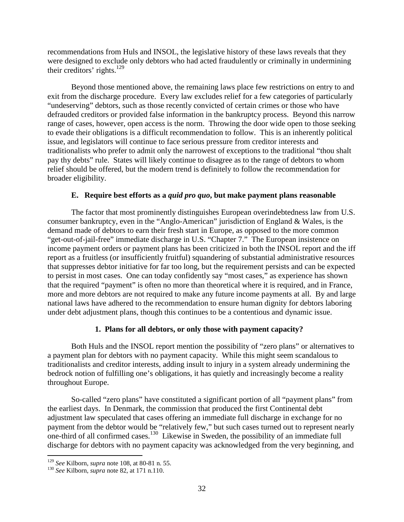recommendations from Huls and INSOL, the legislative history of these laws reveals that they were designed to exclude only debtors who had acted fraudulently or criminally in undermining their creditors' rights.<sup>129</sup>

Beyond those mentioned above, the remaining laws place few restrictions on entry to and exit from the discharge procedure. Every law excludes relief for a few categories of particularly "undeserving" debtors, such as those recently convicted of certain crimes or those who have defrauded creditors or provided false information in the bankruptcy process. Beyond this narrow range of cases, however, open access is the norm. Throwing the door wide open to those seeking to evade their obligations is a difficult recommendation to follow. This is an inherently political issue, and legislators will continue to face serious pressure from creditor interests and traditionalists who prefer to admit only the narrowest of exceptions to the traditional "thou shalt pay thy debts" rule. States will likely continue to disagree as to the range of debtors to whom relief should be offered, but the modern trend is definitely to follow the recommendation for broader eligibility.

# **E. Require best efforts as a** *quid pro quo***, but make payment plans reasonable**

The factor that most prominently distinguishes European overindebtedness law from U.S. consumer bankruptcy, even in the "Anglo-American" jurisdiction of England & Wales, is the demand made of debtors to earn their fresh start in Europe, as opposed to the more common "get-out-of-jail-free" immediate discharge in U.S. "Chapter 7." The European insistence on income payment orders or payment plans has been criticized in both the INSOL report and the iff report as a fruitless (or insufficiently fruitful) squandering of substantial administrative resources that suppresses debtor initiative for far too long, but the requirement persists and can be expected to persist in most cases. One can today confidently say "most cases," as experience has shown that the required "payment" is often no more than theoretical where it is required, and in France, more and more debtors are not required to make any future income payments at all. By and large national laws have adhered to the recommendation to ensure human dignity for debtors laboring under debt adjustment plans, though this continues to be a contentious and dynamic issue.

# **1. Plans for all debtors, or only those with payment capacity?**

Both Huls and the INSOL report mention the possibility of "zero plans" or alternatives to a payment plan for debtors with no payment capacity. While this might seem scandalous to traditionalists and creditor interests, adding insult to injury in a system already undermining the bedrock notion of fulfilling one's obligations, it has quietly and increasingly become a reality throughout Europe.

So-called "zero plans" have constituted a significant portion of all "payment plans" from the earliest days. In Denmark, the commission that produced the first Continental debt adjustment law speculated that cases offering an immediate full discharge in exchange for no payment from the debtor would be "relatively few," but such cases turned out to represent nearly one-third of all confirmed cases.130 Likewise in Sweden, the possibility of an immediate full discharge for debtors with no payment capacity was acknowledged from the very beginning, and

<sup>129</sup> *See* Kilborn, *supra* note 108, at 80-81 n. 55. <sup>130</sup> *See* Kilborn, *supra* note 82, at 171 n.110.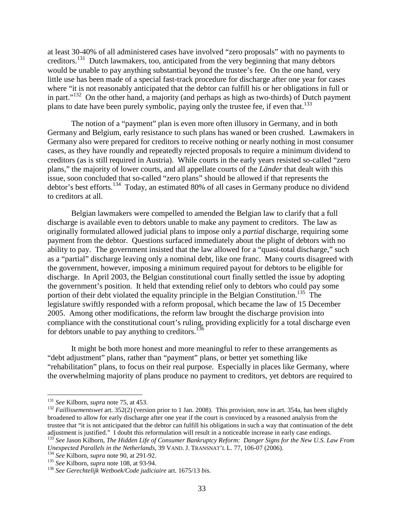at least 30-40% of all administered cases have involved "zero proposals" with no payments to creditors.<sup>131</sup> Dutch lawmakers, too, anticipated from the very beginning that many debtors would be unable to pay anything substantial beyond the trustee's fee. On the one hand, very little use has been made of a special fast-track procedure for discharge after one year for cases where "it is not reasonably anticipated that the debtor can fulfill his or her obligations in full or in part."<sup>132</sup> On the other hand, a majority (and perhaps as high as two-thirds) of Dutch payment plans to date have been purely symbolic, paying only the trustee fee, if even that.<sup>133</sup>

The notion of a "payment" plan is even more often illusory in Germany, and in both Germany and Belgium, early resistance to such plans has waned or been crushed. Lawmakers in Germany also were prepared for creditors to receive nothing or nearly nothing in most consumer cases, as they have roundly and repeatedly rejected proposals to require a minimum dividend to creditors (as is still required in Austria). While courts in the early years resisted so-called "zero plans," the majority of lower courts, and all appellate courts of the *Länder* that dealt with this issue, soon concluded that so-called "zero plans" should be allowed if that represents the debtor's best efforts.<sup>134</sup> Today, an estimated 80% of all cases in Germany produce no dividend to creditors at all.

Belgian lawmakers were compelled to amended the Belgian law to clarify that a full discharge is available even to debtors unable to make any payment to creditors. The law as originally formulated allowed judicial plans to impose only a *partial* discharge, requiring some payment from the debtor. Questions surfaced immediately about the plight of debtors with no ability to pay. The government insisted that the law allowed for a "quasi-total discharge," such as a "partial" discharge leaving only a nominal debt, like one franc. Many courts disagreed with the government, however, imposing a minimum required payout for debtors to be eligible for discharge. In April 2003, the Belgian constitutional court finally settled the issue by adopting the government's position. It held that extending relief only to debtors who could pay some portion of their debt violated the equality principle in the Belgian Constitution.<sup>135</sup> The legislature swiftly responded with a reform proposal, which became the law of 15 December 2005. Among other modifications, the reform law brought the discharge provision into compliance with the constitutional court's ruling, providing explicitly for a total discharge even for debtors unable to pay anything to creditors. $136$ 

It might be both more honest and more meaningful to refer to these arrangements as "debt adjustment" plans, rather than "payment" plans, or better yet something like "rehabilitation" plans, to focus on their real purpose. Especially in places like Germany, where the overwhelming majority of plans produce no payment to creditors, yet debtors are required to

<sup>&</sup>lt;sup>131</sup> *See* Kilborn, *supra* note 75, at 453.<br><sup>132</sup> *Faillissementswet* art. 352(2) (version prior to 1 Jan. 2008). This provision, now in art. 354a, has been slightly broadened to allow for early discharge after one year if the court is convinced by a reasoned analysis from the trustee that "it is not anticipated that the debtor can fulfill his obligations in such a way that continuation of the debt adjustment is justified." I doubt this reformulation will result in a noticeable increase in early case endings.

<sup>133</sup> *See* Jason Kilborn, *The Hidden Life of Consumer Bankruptcy Reform: Danger Signs for the New U.S. Law From*  Unexpected Parallels in the Netherlands, 39 VAND. J. TRANSNAT'L L. 77, 106-07 (2006).<br>
<sup>134</sup> See Kilborn, *supra* note 90, at 291-92.<br>
<sup>135</sup> See Kilborn, *supra* note 108, at 93-94.<br>
<sup>136</sup> See Gerechtelijk Wetboek/Code ju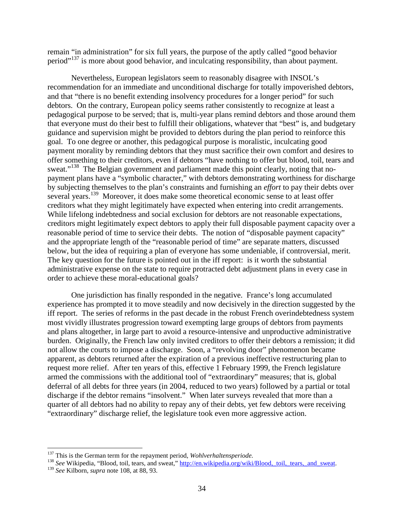remain "in administration" for six full years, the purpose of the aptly called "good behavior period"<sup>137</sup> is more about good behavior, and inculcating responsibility, than about payment.

Nevertheless, European legislators seem to reasonably disagree with INSOL's recommendation for an immediate and unconditional discharge for totally impoverished debtors, and that "there is no benefit extending insolvency procedures for a longer period" for such debtors. On the contrary, European policy seems rather consistently to recognize at least a pedagogical purpose to be served; that is, multi-year plans remind debtors and those around them that everyone must do their best to fulfill their obligations, whatever that "best" is, and budgetary guidance and supervision might be provided to debtors during the plan period to reinforce this goal. To one degree or another, this pedagogical purpose is moralistic, inculcating good payment morality by reminding debtors that they must sacrifice their own comfort and desires to offer something to their creditors, even if debtors "have nothing to offer but blood, toil, tears and sweat."<sup>138</sup> The Belgian government and parliament made this point clearly, noting that nopayment plans have a "symbolic character," with debtors demonstrating worthiness for discharge by subjecting themselves to the plan's constraints and furnishing an *effort* to pay their debts over several years.<sup>139</sup> Moreover, it does make some theoretical economic sense to at least offer creditors what they might legitimately have expected when entering into credit arrangements. While lifelong indebtedness and social exclusion for debtors are not reasonable expectations, creditors might legitimately expect debtors to apply their full disposable payment capacity over a reasonable period of time to service their debts. The notion of "disposable payment capacity" and the appropriate length of the "reasonable period of time" are separate matters, discussed below, but the idea of requiring a plan of everyone has some undeniable, if controversial, merit. The key question for the future is pointed out in the iff report: is it worth the substantial administrative expense on the state to require protracted debt adjustment plans in every case in order to achieve these moral-educational goals?

One jurisdiction has finally responded in the negative. France's long accumulated experience has prompted it to move steadily and now decisively in the direction suggested by the iff report. The series of reforms in the past decade in the robust French overindebtedness system most vividly illustrates progression toward exempting large groups of debtors from payments and plans altogether, in large part to avoid a resource-intensive and unproductive administrative burden. Originally, the French law only invited creditors to offer their debtors a remission; it did not allow the courts to impose a discharge. Soon, a "revolving door" phenomenon became apparent, as debtors returned after the expiration of a previous ineffective restructuring plan to request more relief. After ten years of this, effective 1 February 1999, the French legislature armed the commissions with the additional tool of "extraordinary" measures; that is, global deferral of all debts for three years (in 2004, reduced to two years) followed by a partial or total discharge if the debtor remains "insolvent." When later surveys revealed that more than a quarter of all debtors had no ability to repay any of their debts, yet few debtors were receiving "extraordinary" discharge relief, the legislature took even more aggressive action.

<sup>&</sup>lt;sup>137</sup> This is the German term for the repayment period, *Wohlverhaltensperiode*.<br><sup>138</sup> See Wikipedia, "Blood, toil, tears, and sweat," <u>http://en.wikipedia.org/wiki/Blood, toil, tears, and sweat</u>.<br><sup>139</sup> See Kilborn, *supr*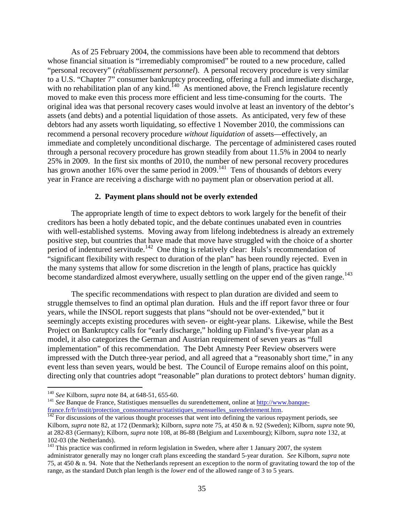As of 25 February 2004, the commissions have been able to recommend that debtors whose financial situation is "irremediably compromised" be routed to a new procedure, called "personal recovery" (*rétablissement personnel*). A personal recovery procedure is very similar to a U.S. "Chapter 7" consumer bankruptcy proceeding, offering a full and immediate discharge, with no rehabilitation plan of any kind.  $^{140}$  As mentioned above, the French legislature recently moved to make even this process more efficient and less time-consuming for the courts. The original idea was that personal recovery cases would involve at least an inventory of the debtor's assets (and debts) and a potential liquidation of those assets. As anticipated, very few of these debtors had any assets worth liquidating, so effective 1 November 2010, the commissions can recommend a personal recovery procedure *without liquidation* of assets—effectively, an immediate and completely unconditional discharge. The percentage of administered cases routed through a personal recovery procedure has grown steadily from about 11.5% in 2004 to nearly 25% in 2009. In the first six months of 2010, the number of new personal recovery procedures has grown another 16% over the same period in 2009.<sup>141</sup> Tens of thousands of debtors every year in France are receiving a discharge with no payment plan or observation period at all.

## **2. Payment plans should not be overly extended**

The appropriate length of time to expect debtors to work largely for the benefit of their creditors has been a hotly debated topic, and the debate continues unabated even in countries with well-established systems. Moving away from lifelong indebtedness is already an extremely positive step, but countries that have made that move have struggled with the choice of a shorter period of indentured servitude.<sup>142</sup> One thing is relatively clear: Huls's recommendation of "significant flexibility with respect to duration of the plan" has been roundly rejected. Even in the many systems that allow for some discretion in the length of plans, practice has quickly become standardized almost everywhere, usually settling on the upper end of the given range.<sup>143</sup>

The specific recommendations with respect to plan duration are divided and seem to struggle themselves to find an optimal plan duration. Huls and the iff report favor three or four years, while the INSOL report suggests that plans "should not be over-extended," but it seemingly accepts existing procedures with seven- or eight-year plans. Likewise, while the Best Project on Bankruptcy calls for "early discharge," holding up Finland's five-year plan as a model, it also categorizes the German and Austrian requirement of seven years as "full implementation" of this recommendation. The Debt Amnesty Peer Review observers were impressed with the Dutch three-year period, and all agreed that a "reasonably short time," in any event less than seven years, would be best. The Council of Europe remains aloof on this point, directing only that countries adopt "reasonable" plan durations to protect debtors' human dignity.

<sup>&</sup>lt;sup>140</sup> *See* Kilborn, *supra* note 84, at 648-51, 655-60.<br><sup>141</sup> *See* Banque de France, Statistiques mensuelles du surendettement, online at [http://www.banque](http://www.banque-france.fr/fr/instit/protection_consommateur/statistiques_mensuelles_surendettement.htm)france.fr/fr/instit/protection\_consommateur/statistiques\_mensuelles\_surendettement.htm.<br><sup>142</sup> For discussions of the various thought processes that went into defining the various repayment periods, see

Kilborn, *supra* note 82, at 172 (Denmark); Kilborn, *supra* note 75, at 450 & n. 92 (Sweden); Kilborn, *supra* note 90, at 282-83 (Germany); Kilborn, *supra* note 108, at 86-88 (Belgium and Luxembourg); Kilborn, *supra* note 132, at 102-03 (the Netherlands).<br><sup>143</sup> This practice was confirmed in reform legislation in Sweden, where after 1 January 2007, the system

administrator generally may no longer craft plans exceeding the standard 5-year duration. *See* Kilborn, *supra* note 75, at 450 & n. 94. Note that the Netherlands represent an exception to the norm of gravitating toward the top of the range, as the standard Dutch plan length is the *lower* end of the allowed range of 3 to 5 years.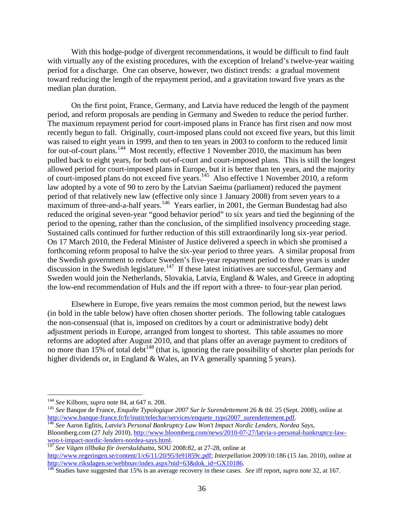With this hodge-podge of divergent recommendations, it would be difficult to find fault with virtually any of the existing procedures, with the exception of Ireland's twelve-year waiting period for a discharge. One can observe, however, two distinct trends: a gradual movement toward reducing the length of the repayment period, and a gravitation toward five years as the median plan duration.

On the first point, France, Germany, and Latvia have reduced the length of the payment period, and reform proposals are pending in Germany and Sweden to reduce the period further. The maximum repayment period for court-imposed plans in France has first risen and now most recently begun to fall. Originally, court-imposed plans could not exceed five years, but this limit was raised to eight years in 1999, and then to ten years in 2003 to conform to the reduced limit for out-of-court plans.<sup>144</sup> Most recently, effective 1 November 2010, the maximum has been pulled back to eight years, for both out-of-court and court-imposed plans. This is still the longest allowed period for court-imposed plans in Europe, but it is better than ten years, and the majority of court-imposed plans do not exceed five years.<sup>145</sup> Also effective 1 November 2010, a reform law adopted by a vote of 90 to zero by the Latvian Saeima (parliament) reduced the payment period of that relatively new law (effective only since 1 January 2008) from seven years to a maximum of three-and-a-half years.<sup>146</sup> Years earlier, in 2001, the German Bundestag had also reduced the original seven-year "good behavior period" to six years and tied the beginning of the period to the opening, rather than the conclusion, of the simplified insolvency proceeding stage. Sustained calls continued for further reduction of this still extraordinarily long six-year period. On 17 March 2010, the Federal Minister of Justice delivered a speech in which she promised a forthcoming reform proposal to halve the six-year period to three years. A similar proposal from the Swedish government to reduce Sweden's five-year repayment period to three years is under discussion in the Swedish legislature.<sup>147</sup> If these latest initiatives are successful, Germany and Sweden would join the Netherlands, Slovakia, Latvia, England & Wales, and Greece in adopting the low-end recommendation of Huls and the iff report with a three- to four-year plan period.

Elsewhere in Europe, five years remains the most common period, but the newest laws (in bold in the table below) have often chosen shorter periods. The following table catalogues the non-consensual (that is, imposed on creditors by a court or administrative body) debt adjustment periods in Europe, arranged from longest to shortest. This table assumes no more reforms are adopted after August 2010, and that plans offer an average payment to creditors of no more than 15% of total debt<sup>148</sup> (that is, ignoring the rare possibility of shorter plan periods for higher dividends or, in England & Wales, an IVA generally spanning 5 years).

<sup>&</sup>lt;sup>144</sup> *See* Kilborn, *supra* note 84, at 647 n. 208.<br><sup>145</sup> *See* Banque de France, *Enquête Typologique 2007 Sur le Surendettement* 26 & tbl. 25 (Sept. 2008), online at http://www.banque-france.fr/fr/instit/telechar/servic

http://institutionstituter.<br><sup>[146](http://www.banque-france.fr/fr/instit/telechar/services/enquete_typo2007_surendettement.pdf)</sup> See Aaron Eglitis, *Latvia's Personal Bankruptcy Law Won't Impact Nordic Lenders, Nordea Says,* Bloomberg.com (27 July 2010)[, http://www.bloomberg.com/news/2010-07-27/latvia-s-personal-bankruptcy-law](http://www.bloomberg.com/news/2010-07-27/latvia-s-personal-bankruptcy-law-won-t-impact-nordic-lenders-nordea-says.html)[won-t-impact-nordic-lenders-nordea-says.html.](http://www.bloomberg.com/news/2010-07-27/latvia-s-personal-bankruptcy-law-won-t-impact-nordic-lenders-nordea-says.html) [147](http://www.bloomberg.com/news/2010-07-27/latvia-s-personal-bankruptcy-law-won-t-impact-nordic-lenders-nordea-says.html) *See Vägen tillbaka för överskuldsatta,* SOU 2008:82, at 27-28, online at

[http://www.regeringen.se/content/1/c6/11/20/95/fe91859c.pdf;](http://www.regeringen.se/content/1/c6/11/20/95/fe91859c.pdf) *Interpellation* 2009/10:186 (15 Jan. 2010), online at

<sup>&</sup>lt;sup>[148](http://www.riksdagen.se/webbnav/index.aspx?nid=63&dok_id=GX10186)</sup> Studies have suggested that 15% is an average recovery in these cases. *See* iff report, *supra* note 32, at 167.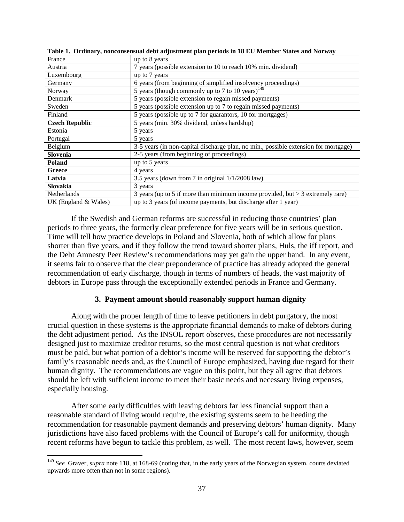| France                  | up to 8 years                                                                       |
|-------------------------|-------------------------------------------------------------------------------------|
| Austria                 | 7 years (possible extension to 10 to reach 10% min. dividend)                       |
| Luxembourg              | up to 7 years                                                                       |
| Germany                 | 6 years (from beginning of simplified insolvency proceedings)                       |
| Norway                  | 5 years (though commonly up to 7 to 10 years) <sup>149</sup>                        |
| Denmark                 | 5 years (possible extension to regain missed payments)                              |
| Sweden                  | 5 years (possible extension up to 7 to regain missed payments)                      |
| Finland                 | 5 years (possible up to 7 for guarantors, 10 for mortgages)                         |
| <b>Czech Republic</b>   | 5 years (min. 30% dividend, unless hardship)                                        |
| Estonia                 | 5 years                                                                             |
| Portugal                | 5 years                                                                             |
| Belgium                 | 3-5 years (in non-capital discharge plan, no min., possible extension for mortgage) |
| Slovenia                | 2-5 years (from beginning of proceedings)                                           |
| Poland                  | up to 5 years                                                                       |
| Greece                  | 4 years                                                                             |
| Latvia                  | 3.5 years (down from 7 in original $1/1/2008$ law)                                  |
| Slovakia                | 3 years                                                                             |
| Netherlands             | 3 years (up to 5 if more than minimum income provided, but $>$ 3 extremely rare)    |
| UK (England $& Wales$ ) | up to 3 years (of income payments, but discharge after 1 year)                      |

**Table 1. Ordinary, nonconsensual debt adjustment plan periods in 18 EU Member States and Norway**

If the Swedish and German reforms are successful in reducing those countries' plan periods to three years, the formerly clear preference for five years will be in serious question. Time will tell how practice develops in Poland and Slovenia, both of which allow for plans shorter than five years, and if they follow the trend toward shorter plans, Huls, the iff report, and the Debt Amnesty Peer Review's recommendations may yet gain the upper hand. In any event, it seems fair to observe that the clear preponderance of practice has already adopted the general recommendation of early discharge, though in terms of numbers of heads, the vast majority of debtors in Europe pass through the exceptionally extended periods in France and Germany.

# **3. Payment amount should reasonably support human dignity**

Along with the proper length of time to leave petitioners in debt purgatory, the most crucial question in these systems is the appropriate financial demands to make of debtors during the debt adjustment period. As the INSOL report observes, these procedures are not necessarily designed just to maximize creditor returns, so the most central question is not what creditors must be paid, but what portion of a debtor's income will be reserved for supporting the debtor's family's reasonable needs and, as the Council of Europe emphasized, having due regard for their human dignity. The recommendations are vague on this point, but they all agree that debtors should be left with sufficient income to meet their basic needs and necessary living expenses, especially housing.

After some early difficulties with leaving debtors far less financial support than a reasonable standard of living would require, the existing systems seem to be heeding the recommendation for reasonable payment demands and preserving debtors' human dignity. Many jurisdictions have also faced problems with the Council of Europe's call for uniformity, though recent reforms have begun to tackle this problem, as well. The most recent laws, however, seem

<sup>&</sup>lt;sup>149</sup> See Graver, *supra* note 118, at 168-69 (noting that, in the early years of the Norwegian system, courts deviated upwards more often than not in some regions).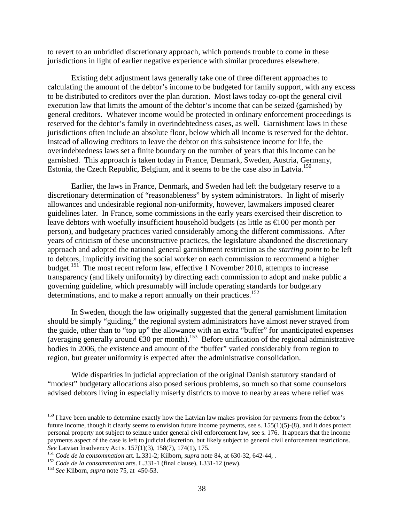to revert to an unbridled discretionary approach, which portends trouble to come in these jurisdictions in light of earlier negative experience with similar procedures elsewhere.

Existing debt adjustment laws generally take one of three different approaches to calculating the amount of the debtor's income to be budgeted for family support, with any excess to be distributed to creditors over the plan duration. Most laws today co-opt the general civil execution law that limits the amount of the debtor's income that can be seized (garnished) by general creditors. Whatever income would be protected in ordinary enforcement proceedings is reserved for the debtor's family in overindebtedness cases, as well. Garnishment laws in these jurisdictions often include an absolute floor, below which all income is reserved for the debtor. Instead of allowing creditors to leave the debtor on this subsistence income for life, the overindebtedness laws set a finite boundary on the number of years that this income can be garnished. This approach is taken today in France, Denmark, Sweden, Austria, Germany, Estonia, the Czech Republic, Belgium, and it seems to be the case also in Latvia.<sup>150</sup>

Earlier, the laws in France, Denmark, and Sweden had left the budgetary reserve to a discretionary determination of "reasonableness" by system administrators. In light of miserly allowances and undesirable regional non-uniformity, however, lawmakers imposed clearer guidelines later. In France, some commissions in the early years exercised their discretion to leave debtors with woefully insufficient household budgets (as little as €100 per month per person), and budgetary practices varied considerably among the different commissions. After years of criticism of these unconstructive practices, the legislature abandoned the discretionary approach and adopted the national general garnishment restriction as the *starting point* to be left to debtors, implicitly inviting the social worker on each commission to recommend a higher budget.<sup>151</sup> The most recent reform law, effective 1 November 2010, attempts to increase transparency (and likely uniformity) by directing each commission to adopt and make public a governing guideline, which presumably will include operating standards for budgetary determinations, and to make a report annually on their practices.<sup>152</sup>

In Sweden, though the law originally suggested that the general garnishment limitation should be simply "guiding," the regional system administrators have almost never strayed from the guide, other than to "top up" the allowance with an extra "buffer" for unanticipated expenses (averaging generally around  $\epsilon$ 30 per month).<sup>153</sup> Before unification of the regional administrative bodies in 2006, the existence and amount of the "buffer" varied considerably from region to region, but greater uniformity is expected after the administrative consolidation.

Wide disparities in judicial appreciation of the original Danish statutory standard of "modest" budgetary allocations also posed serious problems, so much so that some counselors advised debtors living in especially miserly districts to move to nearby areas where relief was

<sup>&</sup>lt;sup>150</sup> I have been unable to determine exactly how the Latvian law makes provision for payments from the debtor's future income, though it clearly seems to envision future income payments, see s. 155(1)(5)-(8), and it does protect personal property not subject to seizure under general civil enforcement law, see s. 176. It appears that the income payments aspect of the case is left to judicial discretion, but likely subject to general civil enforcement restrictions.<br>See Latvian Insolvency Act s. 157(1)(3), 158(7), 174(1), 175.

<sup>&</sup>lt;sup>151</sup> Code de la consommation art. L.331-2; Kilborn, *supra* note 84, at 630-32, 642-44, .<br><sup>152</sup> Code de la consommation arts. L.331-1 (final clause), L331-12 (new).<br><sup>153</sup> See Kilborn, *supra* note 75, at 450-53.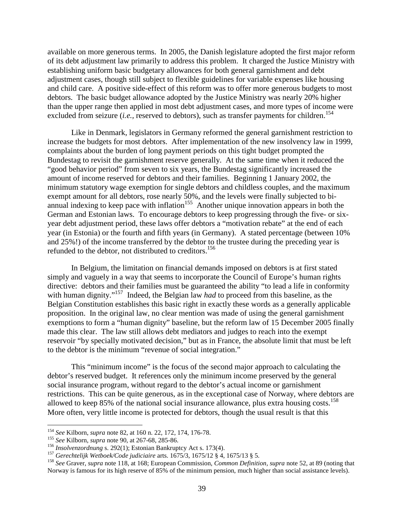available on more generous terms. In 2005, the Danish legislature adopted the first major reform of its debt adjustment law primarily to address this problem. It charged the Justice Ministry with establishing uniform basic budgetary allowances for both general garnishment and debt adjustment cases, though still subject to flexible guidelines for variable expenses like housing and child care. A positive side-effect of this reform was to offer more generous budgets to most debtors. The basic budget allowance adopted by the Justice Ministry was nearly 20% higher than the upper range then applied in most debt adjustment cases, and more types of income were excluded from seizure (*i.e.*, reserved to debtors), such as transfer payments for children.<sup>154</sup>

Like in Denmark, legislators in Germany reformed the general garnishment restriction to increase the budgets for most debtors. After implementation of the new insolvency law in 1999, complaints about the burden of long payment periods on this tight budget prompted the Bundestag to revisit the garnishment reserve generally. At the same time when it reduced the "good behavior period" from seven to six years, the Bundestag significantly increased the amount of income reserved for debtors and their families. Beginning 1 January 2002, the minimum statutory wage exemption for single debtors and childless couples, and the maximum exempt amount for all debtors, rose nearly 50%, and the levels were finally subjected to biannual indexing to keep pace with inflation<sup>155</sup> Another unique innovation appears in both the German and Estonian laws. To encourage debtors to keep progressing through the five- or sixyear debt adjustment period, these laws offer debtors a "motivation rebate" at the end of each year (in Estonia) or the fourth and fifth years (in Germany). A stated percentage (between 10% and 25%!) of the income transferred by the debtor to the trustee during the preceding year is refunded to the debtor, not distributed to creditors.<sup>156</sup>

In Belgium, the limitation on financial demands imposed on debtors is at first stated simply and vaguely in a way that seems to incorporate the Council of Europe's human rights directive: debtors and their families must be guaranteed the ability "to lead a life in conformity with human dignity."<sup>157</sup> Indeed, the Belgian law *had* to proceed from this baseline, as the Belgian Constitution establishes this basic right in exactly these words as a generally applicable proposition. In the original law, no clear mention was made of using the general garnishment exemptions to form a "human dignity" baseline, but the reform law of 15 December 2005 finally made this clear. The law still allows debt mediators and judges to reach into the exempt reservoir "by specially motivated decision," but as in France, the absolute limit that must be left to the debtor is the minimum "revenue of social integration."

This "minimum income" is the focus of the second major approach to calculating the debtor's reserved budget. It references only the minimum income preserved by the general social insurance program, without regard to the debtor's actual income or garnishment restrictions. This can be quite generous, as in the exceptional case of Norway, where debtors are allowed to keep  $85\%$  of the national social insurance allowance, plus extra housing costs.<sup>158</sup> More often, very little income is protected for debtors, though the usual result is that this

<sup>&</sup>lt;sup>154</sup> See Kilborn, *supra* note 82, at 160 n. 22, 172, 174, 176-78.<br>
<sup>155</sup> See Kilborn, *supra* note 90, at 267-68, 285-86.<br>
<sup>156</sup> Insolvenzordnung s. 292(1); Estonian Bankruptcy Act s. 173(4).<br>
<sup>157</sup> Gerechtelijk Wetboek Norway is famous for its high reserve of 85% of the minimum pension, much higher than social assistance levels).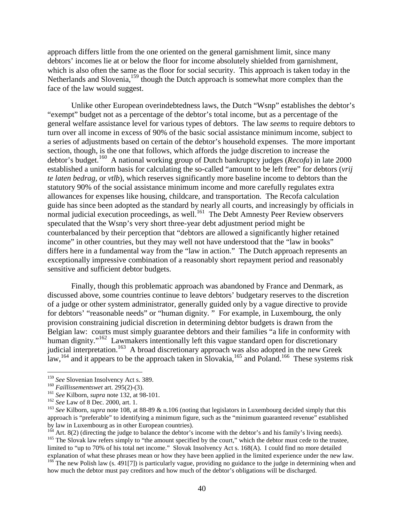approach differs little from the one oriented on the general garnishment limit, since many debtors' incomes lie at or below the floor for income absolutely shielded from garnishment, which is also often the same as the floor for social security. This approach is taken today in the Netherlands and Slovenia, <sup>159</sup> though the Dutch approach is somewhat more complex than the face of the law would suggest.

Unlike other European overindebtedness laws, the Dutch "Wsnp" establishes the debtor's "exempt" budget not as a percentage of the debtor's total income, but as a percentage of the general welfare assistance level for various types of debtors. The law *seems* to require debtors to turn over all income in excess of 90% of the basic social assistance minimum income, subject to a series of adjustments based on certain of the debtor's household expenses. The more important section, though, is the one that follows, which affords the judge discretion to increase the debtor's budget. 160 A national working group of Dutch bankruptcy judges (*Recofa*) in late 2000 established a uniform basis for calculating the so-called "amount to be left free" for debtors (*vrij te laten bedrag,* or *vtlb*), which reserves significantly more baseline income to debtors than the statutory 90% of the social assistance minimum income and more carefully regulates extra allowances for expenses like housing, childcare, and transportation. The Recofa calculation guide has since been adopted as the standard by nearly all courts, and increasingly by officials in normal judicial execution proceedings, as well.<sup>161</sup> The Debt Amnesty Peer Review observers speculated that the Wsnp's very short three-year debt adjustment period might be counterbalanced by their perception that "debtors are allowed a significantly higher retained income" in other countries, but they may well not have understood that the "law in books" differs here in a fundamental way from the "law in action." The Dutch approach represents an exceptionally impressive combination of a reasonably short repayment period and reasonably sensitive and sufficient debtor budgets.

Finally, though this problematic approach was abandoned by France and Denmark, as discussed above, some countries continue to leave debtors' budgetary reserves to the discretion of a judge or other system administrator, generally guided only by a vague directive to provide for debtors' "reasonable needs" or "human dignity. " For example, in Luxembourg, the only provision constraining judicial discretion in determining debtor budgets is drawn from the Belgian law: courts must simply guarantee debtors and their families "a life in conformity with human dignity."<sup>162</sup> Lawmakers intentionally left this vague standard open for discretionary judicial interpretation.<sup>163</sup> A broad discretionary approach was also adopted in the new Greek law,<sup>164</sup> and it appears to be the approach taken in Slovakia,<sup>165</sup> and Poland.<sup>166</sup> These systems risk

<sup>&</sup>lt;sup>159</sup> See Slovenian Insolvency Act s. 389.<br><sup>160</sup> Faillissementswet art. 295(2)-(3).<br><sup>161</sup> See Kilborn, *supra* note 132, at 98-101.<br><sup>162</sup> See Law of 8 Dec. 2000, art. 1.<br><sup>162</sup> See Kilborn, *supra* note 108, at 88-89 & n.1 approach is "preferable" to identifying a minimum figure, such as the "minimum guaranteed revenue" established by law in Luxembourg as in other European countries).<br><sup>164</sup> Art. 8(2) (directing the judge to balance the debtor's income with the debtor's and his family's living needs).

<sup>&</sup>lt;sup>165</sup> The Slovak law refers simply to "the amount specified by the court," which the debtor must cede to the trustee, limited to "up to 70% of his total net income." Slovak Insolvency Act s. 168(A). I could find no more detailed explanation of what these phrases mean or how they have been applied in the limited experience under the new law.

<sup>&</sup>lt;sup>166</sup> The new Polish law (s. 491[7]) is particularly vague, providing no guidance to the judge in determining when and how much the debtor must pay creditors and how much of the debtor's obligations will be discharged.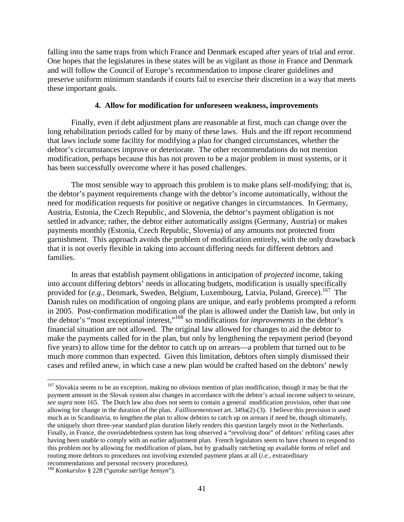falling into the same traps from which France and Denmark escaped after years of trial and error. One hopes that the legislatures in these states will be as vigilant as those in France and Denmark and will follow the Council of Europe's recommendation to impose clearer guidelines and preserve uniform minimum standards if courts fail to exercise their discretion in a way that meets these important goals.

#### **4. Allow for modification for unforeseen weakness, improvements**

Finally, even if debt adjustment plans are reasonable at first, much can change over the long rehabilitation periods called for by many of these laws. Huls and the iff report recommend that laws include some facility for modifying a plan for changed circumstances, whether the debtor's circumstances improve or deteriorate. The other recommendations do not mention modification, perhaps because this has not proven to be a major problem in most systems, or it has been successfully overcome where it has posed challenges.

The most sensible way to approach this problem is to make plans self-modifying; that is, the debtor's payment requirements change with the debtor's income automatically, without the need for modification requests for positive or negative changes in circumstances. In Germany, Austria, Estonia, the Czech Republic, and Slovenia, the debtor's payment obligation is not settled in advance; rather, the debtor either automatically assigns (Germany, Austria) or makes payments monthly (Estonia, Czech Republic, Slovenia) of any amounts not protected from garnishment. This approach avoids the problem of modification entirely, with the only drawback that it is not overly flexible in taking into account differing needs for different debtors and families.

In areas that establish payment obligations in anticipation of *projected* income, taking into account differing debtors' needs in allocating budgets, modification is usually specifically provided for (e.g., Denmark, Sweden, Belgium, Luxembourg, Latvia, Poland, Greece).<sup>167</sup> The Danish rules on modification of ongoing plans are unique, and early problems prompted a reform in 2005. Post-confirmation modification of the plan is allowed under the Danish law, but only in the debtor's "most exceptional interest,"<sup>168</sup> so modifications for *improvements* in the debtor's financial situation are not allowed. The original law allowed for changes to aid the debtor to make the payments called for in the plan, but only by lengthening the repayment period (beyond five years) to allow time for the debtor to catch up on arrears—a problem that turned out to be much more common than expected. Given this limitation, debtors often simply dismissed their cases and refiled anew, in which case a new plan would be crafted based on the debtors' newly

<sup>&</sup>lt;sup>167</sup> Slovakia seems to be an exception, making no obvious mention of plan modification, though it may be that the payment amount in the Slovak system also changes in accordance with the debtor's actual income subject to seizure, *see supra* note 165. The Dutch law also does not seem to contain a general modification provision, other than one allowing for change in the duration of the plan. *Faillissementswet* art. 349a(2)-(3). I believe this provision is used much as in Scandinavia, to lengthen the plan to allow debtors to catch up on arrears if need be, though ultimately, the uniquely short three-year standard plan duration likely renders this question largely moot in the Netherlands. Finally, in France, the overindebtedness system has long observed a "revolving door" of debtors' refiling cases after having been unable to comply with an earlier adjustment plan. French legislators seem to have chosen to respond to this problem not by allowing for modification of plans, but by gradually ratcheting up available forms of relief and routing more debtors to procedures not involving extended payment plans at all (*i.e.,* extraordinary

recommendations and personal recovery procedures). <sup>168</sup> *Konkurslov* § 228 ("*ganske særlige hensyn*").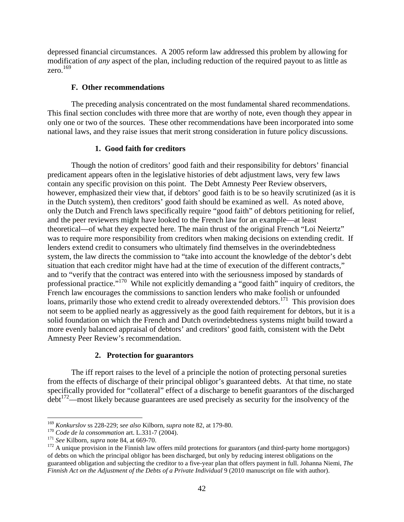depressed financial circumstances. A 2005 reform law addressed this problem by allowing for modification of *any* aspect of the plan, including reduction of the required payout to as little as zero. $169$ 

# **F. Other recommendations**

The preceding analysis concentrated on the most fundamental shared recommendations. This final section concludes with three more that are worthy of note, even though they appear in only one or two of the sources. These other recommendations have been incorporated into some national laws, and they raise issues that merit strong consideration in future policy discussions.

# **1. Good faith for creditors**

Though the notion of creditors' good faith and their responsibility for debtors' financial predicament appears often in the legislative histories of debt adjustment laws, very few laws contain any specific provision on this point. The Debt Amnesty Peer Review observers, however, emphasized their view that, if debtors' good faith is to be so heavily scrutinized (as it is in the Dutch system), then creditors' good faith should be examined as well. As noted above, only the Dutch and French laws specifically require "good faith" of debtors petitioning for relief, and the peer reviewers might have looked to the French law for an example—at least theoretical—of what they expected here. The main thrust of the original French "Loi Neiertz" was to require more responsibility from creditors when making decisions on extending credit. If lenders extend credit to consumers who ultimately find themselves in the overindebtedness system, the law directs the commission to "take into account the knowledge of the debtor's debt situation that each creditor might have had at the time of execution of the different contracts," and to "verify that the contract was entered into with the seriousness imposed by standards of professional practice."<sup>170</sup> While not explicitly demanding a "good faith" inquiry of creditors, the French law encourages the commissions to sanction lenders who make foolish or unfounded loans, primarily those who extend credit to already overextended debtors.<sup>171</sup> This provision does not seem to be applied nearly as aggressively as the good faith requirement for debtors, but it is a solid foundation on which the French and Dutch overindebtedness systems might build toward a more evenly balanced appraisal of debtors' and creditors' good faith, consistent with the Debt Amnesty Peer Review's recommendation.

# **2. Protection for guarantors**

The iff report raises to the level of a principle the notion of protecting personal sureties from the effects of discharge of their principal obligor's guaranteed debts. At that time, no state specifically provided for "collateral" effect of a discharge to benefit guarantors of the discharged debt<sup>172</sup>—most likely because guarantees are used precisely as security for the insolvency of the

<sup>&</sup>lt;sup>169</sup> Konkurslov ss 228-229; see also Kilborn, supra note 82, at 179-80.<br><sup>170</sup> Code de la consommation art. L.331-7 (2004).<br><sup>171</sup> See Kilborn, supra note 84, at 669-70.<br><sup>172</sup> A unique provision in the Finnish law offers m of debts on which the principal obligor has been discharged, but only by reducing interest obligations on the guaranteed obligation and subjecting the creditor to a five-year plan that offers payment in full. Johanna Niemi, *The Finnish Act on the Adjustment of the Debts of a Private Individual* 9 (2010 manuscript on file with author).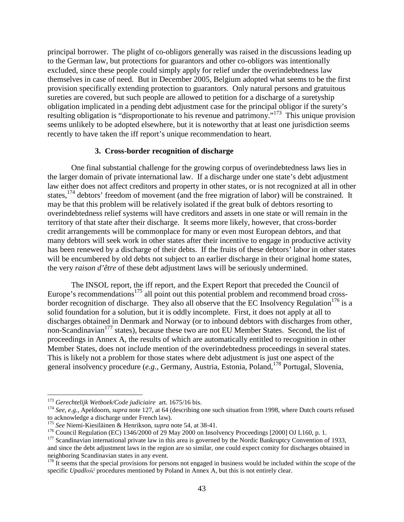principal borrower. The plight of co-obligors generally was raised in the discussions leading up to the German law, but protections for guarantors and other co-obligors was intentionally excluded, since these people could simply apply for relief under the overindebtedness law themselves in case of need. But in December 2005, Belgium adopted what seems to be the first provision specifically extending protection to guarantors. Only natural persons and gratuitous sureties are covered, but such people are allowed to petition for a discharge of a suretyship obligation implicated in a pending debt adjustment case for the principal obligor if the surety's resulting obligation is "disproportionate to his revenue and patrimony."173 This unique provision seems unlikely to be adopted elsewhere, but it is noteworthy that at least one jurisdiction seems recently to have taken the iff report's unique recommendation to heart.

## **3. Cross-border recognition of discharge**

One final substantial challenge for the growing corpus of overindebtedness laws lies in the larger domain of private international law. If a discharge under one state's debt adjustment law either does not affect creditors and property in other states, or is not recognized at all in other states, <sup>174</sup> debtors' freedom of movement (and the free migration of labor) will be constrained. It may be that this problem will be relatively isolated if the great bulk of debtors resorting to overindebtedness relief systems will have creditors and assets in one state or will remain in the territory of that state after their discharge. It seems more likely, however, that cross-border credit arrangements will be commonplace for many or even most European debtors, and that many debtors will seek work in other states after their incentive to engage in productive activity has been renewed by a discharge of their debts. If the fruits of these debtors' labor in other states will be encumbered by old debts not subject to an earlier discharge in their original home states, the very *raison d'être* of these debt adjustment laws will be seriously undermined.

The INSOL report, the iff report, and the Expert Report that preceded the Council of Europe's recommendations<sup>175</sup> all point out this potential problem and recommend broad crossborder recognition of discharge. They also all observe that the EC Insolvency Regulation<sup>176</sup> is a solid foundation for a solution, but it is oddly incomplete. First, it does not apply at all to discharges obtained in Denmark and Norway (or to inbound debtors with discharges from other, non-Scandinavian<sup>177</sup> states), because these two are not EU Member States. Second, the list of proceedings in Annex A, the results of which are automatically entitled to recognition in other Member States, does not include mention of the overindebtedness proceedings in several states. This is likely not a problem for those states where debt adjustment is just one aspect of the general insolvency procedure (*e.g.,* Germany, Austria, Estonia, Poland, <sup>178</sup> Portugal, Slovenia,

<sup>&</sup>lt;sup>173</sup> *Gerechtelijk Wetboek/Code judiciaire* art. 1675/16 bis.<br><sup>174</sup> *See, e.g.,* Apeldoorn, *supra* note 127, at 64 (describing one such situation from 1998, where Dutch courts refused to acknowledge a discharge under Fre

<sup>&</sup>lt;sup>175</sup> See Niemi-Kiesiläinen & Henrikson, *supra* note 54, at 38-41.<br><sup>176</sup> Council Regulation (EC) 1346/2000 of 29 May 2000 on Insolvency Proceedings [2000] OJ L160, p. 1.<br><sup>176</sup> Scandinavian international private law in th and since the debt adjustment laws in the region are so similar, one could expect comity for discharges obtained in neighboring Scandinavian states in any event.<br><sup>178</sup> It seems that the special provisions for persons not engaged in business would be included within the scope of the

specific *Upadłość* procedures mentioned by Poland in Annex A, but this is not entirely clear.